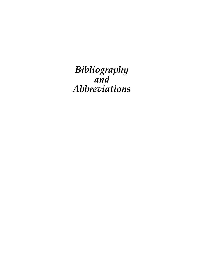*Bibliography and Abbreviations*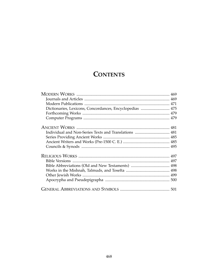# **CONTENTS**

| Dictionaries, Lexicons, Concordances, Encyclopedias  475 |  |
|----------------------------------------------------------|--|
|                                                          |  |
|                                                          |  |
|                                                          |  |
|                                                          |  |
|                                                          |  |
|                                                          |  |
|                                                          |  |
|                                                          |  |
|                                                          |  |
|                                                          |  |
|                                                          |  |
|                                                          |  |
|                                                          |  |
|                                                          |  |
|                                                          |  |
|                                                          |  |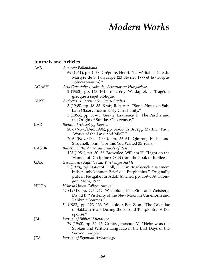# *Modern Works*

## **Journals and Articles**

| AnB          | Analecta Bollandiana.                                         |
|--------------|---------------------------------------------------------------|
|              | 69 (1951), pp. 1-38. Grégoire, Henri. "La Véritable Date du   |
|              | Martyre de S. Polycarpe (23 Février 177) et le (Corpus        |
|              | Polycarpianum)."                                              |
| <b>AOASH</b> | Acta Orientalia Academiae Scientiarum Hungaricae              |
|              | 2 (1952), pp. 143-164. Trencsényi-Waldapfel, I. "Tragédie     |
|              | grecque à sujet biblique."                                    |
| <b>AUSS</b>  | Andrews University Seminary Studies                           |
|              | 3 (1965), pp. 18-33. Kraft, Robert A. "Some Notes on Sab-     |
|              | bath Observance in Early Christianity."                       |
|              | 3 (1965), pp. 85-96. Geraty, Lawrence T. "The Pascha and      |
|              | the Origin of Sunday Observance."                             |
| <b>BAR</b>   | <b>Biblical Archaeology Review</b>                            |
|              | 20.6 (Nov. / Dec. 1994), pp. 52–55, 82. Abegg, Martin. "Paul, |
|              | 'Works of the Law' and MMT."                                  |
|              | 20.6 (Nov./Dec. 1994), pp. 56-61. Qimron, Elisha and          |
|              | Strugnell, John. "For this You Waited 35 Years."              |
| <b>BASOR</b> | Bulletin of the American Schools of Research                  |
|              | 123 (1951), pp. 30–32. Brownlee, William H. "Light on the     |
|              | Manual of Discipline (DSD) from the Book of Jubilees."        |
| <b>GAK</b>   | Gesammelte Aufsätze zur Kirchengeschichte                     |
|              | 2 (1928), pp. 204–224. Holl, K. "Ein Bruchstück aus einem     |
|              | bisher unbekannten Brief des Epiphanius." Originally          |
|              | pub. in Festgabe für Adolf Jülicher, pp. 159-189. Tübin-      |
|              | gen, Mohr, 1927.                                              |
| <b>HUCA</b>  | Hebrew Union College Annual                                   |
|              | 42 (1971), pp. 227-242. Wacholder, Ben Zion and Weisberg,     |
|              | David B. "Visibility of the New Moon in Cuneiform and         |
|              | Rabbinic Sources."                                            |
|              | 54 (1983), pp. 123–133. Wacholder, Ben Zion. "The Calendar    |
|              | of Sabbath Years During the Second Temple Era: A Re-          |
|              | sponse."                                                      |
| JBL          | Journal of Biblical Literature                                |
|              | 79 (1960), pp. 32-47. Grintz, Jehoshua M. "Hebrew as the      |
|              | Spoken and Written Language in the Last Days of the           |
|              | Second Temple."                                               |
| JEA          | Journal of Egyptian Archaeology                               |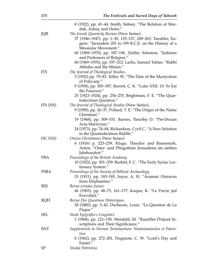|             | 8 (1922), pp. 41–44. Smith, Sidney. "The Relation of Mar-     |
|-------------|---------------------------------------------------------------|
|             | duk, Ashur, and Osiris."                                      |
| JQR         | The Jewish Quarterly Review (New Series)                      |
|             | 37 (1946–1947), pp. 1–30, 125–137, 249–263. Taeubler, Eu-     |
|             | gene. "Jerusalem 201 to 199 B.C.E. on the History of a        |
|             | Messianic Movement."                                          |
|             | 60 (1969–1970), pp. 187–196. Zeitlin, Solomon. "Judaism       |
|             | and Professors of Religion."                                  |
|             |                                                               |
|             | 60 (1969–1970), pp. 197–212. Lachs, Samuel Tobias. "Rabbi     |
|             | Abbahu and the Minim."                                        |
| JTS         | The Journal of Theological Studies.                           |
|             | 3 (1952) pp. 79–83. Telfer, W. "The Date of the Martyrdom     |
|             | of Polycarp."                                                 |
|             | 9 (1958), pp. 305–307. Barrett, C. K. "Luke XXII. 15: To Eat  |
|             | the Passover."                                                |
|             | 25 (1923–1924), pp. 254–270. Brightman, F. E. "The Quar-      |
|             | todeciman Question."                                          |
| JTS (NS)    | The Journal of Theological Studies (New Series).              |
|             | 9 (1958), pp. 26–37. Pollard, T. E. "The Origin of the Name   |
|             | Christiani."                                                  |
|             | 19 (1968), pp. 509–531. Barnes, Timothy D. "Pre-Decian        |
|             | Acta Martyrum."                                               |
|             | 24 (1973), pp. 74–84. Richardson, Cyril C. "A New Solution    |
|             | to the Quartodeciman Riddle."                                 |
| OC(NS)      | Oriens Christianus (New Series)                               |
|             | 6 (1916) p. 223–239. Kluge, Theodor and Baumstark,            |
|             |                                                               |
|             | Anton. "Oster- und Pfingstfeier Jerusalems im siebten         |
|             | Jahrhundert."                                                 |
| <b>PBA</b>  | Proceedings of the British Academy.                           |
|             | 10 (1923), pp. 301–339. Burkitt, F. C. "The Early Syriac Lec- |
|             | tionary System."                                              |
| <b>PSBA</b> | Proceedings of the Society of Biblical Archaeology            |
|             | 33 (1911), pp. 183-185. Sayce, A. H. "Aramaic Ostracon        |
|             | from Elephantine."                                            |
| REJ         | Revue evtudes Juives.                                         |
|             | 46 (1903), pp. 48–73, 161–177. Kuiper, K. "Le Poe;te juif     |
|             | Ezevchiel."                                                   |
| <b>RQH</b>  | Revue Des Questions Historiques.                              |
|             | 28 (1880), pp. 5-42. Duchesne, Louis. "La Question de La      |
|             | Paque."                                                       |
| SEL         | Studi Epigrafici e Lingistici                                 |
|             | 1 (1984), pp. 121–130. Weinfeld, M. "Kuntillet ÔAjrud In-     |
|             | scriptions and Their Significance."                           |
| <b>SNT</b>  | Supplements to Novum Testamentum: Neotestamentica et Patris-  |
|             | tica.                                                         |
|             | 6 (1962), pp. 272-281. Dugmore, C. W. "Lord's Day and         |
|             | Easter."                                                      |
| <b>SP</b>   | Studia Patristica.                                            |
|             |                                                               |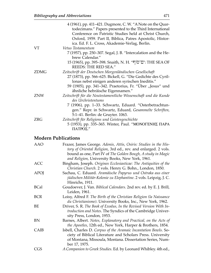|             | 4 (1961), pp. 411–421. Dugmore, C. W. "A Note on the Quar-       |
|-------------|------------------------------------------------------------------|
|             | todecimans." Papers presented to the Third International         |
|             | Conference on Patristic Studies held at Christ Church,           |
|             | Oxford, 1959. Part II, Biblica, Patres Apostolic, Histor-        |
|             | ica. Ed. F. L. Cross, Akademie-Verlag, Berlin.                   |
| <b>VT</b>   | Vetus Testamentum                                                |
|             | 7 (1957), pp. 250–307. Segal, J. B. "Intercalation and the He-   |
|             | brew Calendar."                                                  |
|             | 15 (1965), pp. 395–398. Snaith, N. H. "ים־סוֹף": THE SEA OF      |
|             | REEDS: THE RED SEA."                                             |
| <b>ZDMG</b> | Zeitschrift der Deutschen Morgenländischen Gesellschaft          |
|             | 27 (1873), pp. 566-625. Bickell, G. "Die Gedichte des Cyril-     |
|             | lonas nebst einigen anderen syrischen Ineditis."                 |
|             | 59 (1905), pp. 341-342. Praetorius, Fr. "Über "Jesus" und        |
|             | ähnliche hebräische Eigennamen."                                 |
| <b>ZNW</b>  | Zeitschrift für die Neutestamentliche Wissenschaft und die Kunde |
|             | des Urchristentums                                               |
|             | 7 (1906), pp. 1-33. Schwartz, Eduard. "Osterbetrachtun-          |
|             | gen." Repr. in Schwartz, Eduard, Gesammelte Schriften,           |
|             | 5:1–41. Berlin: de Gruyter. 1063.                                |
| <b>ZRG</b>  | Zeitschrift für Religions und Geistesgeschichte                  |
|             | 5 (1953), pp. 335–365. Winter, Paul. "MONOΓΕΝΗΣ ΠΑΡΑ             |
|             | ΠΑΤΡΟΣ."                                                         |
|             |                                                                  |

#### **Modern Publications**

| <b>AAO</b>  | Frazer, James George. Adonis, Attis, Osiris: Studies in the His-<br>tory of Oriental Religion, 3rd ed., rev. and enlarged. 2 vols.                                                                          |
|-------------|-------------------------------------------------------------------------------------------------------------------------------------------------------------------------------------------------------------|
|             | bound as one, Part IV of The Golden Bough, A study in Magic<br>and Religion, University Books, New York, 1961.                                                                                              |
| <b>ACC</b>  | Bingham, Joseph. Origines Ecclesiasticae: The Antiquities of the<br>Christian Church. 2 vols. Henry G. Bohn., London, 1850.                                                                                 |
| <b>APOJ</b> | Sachau, C. Eduard. Aramäische Papyrus und Ostraka aus einer<br>jüdischen Militär-Kolonie zu Elephantine. 2 vols. Leipzig, J. C.<br>Hinrichs, 1911.                                                          |
| <b>BCal</b> | Goudoever, J. Van. Biblical Calendars. 2nd rev. ed. by E. J. Brill,<br>Leiden, 1961.                                                                                                                        |
| <b>BCR</b>  | Loisy, Alfred F. The Birth of the Christian Religion (la Naissance<br>du Christianisme). University Books, Inc., New York, 1962.                                                                            |
| BE          | Driver, S. R. The Book of Exodus, In the Revised Version With In-<br>troduction and Notes. The Syndics of the Cambridge Univer-<br>sity Press, London, 1953.                                                |
| BN          | Barnes, Albert. Notes, Explanatory and Practical, on the Acts of<br>the Apostles, 12th ed., New York, Harper & Brothers, 1854.                                                                              |
| CAIB        | Isbell, Charles D. Corpus of the Aramaic Incantation Bowls. So-<br>ciety of Biblical Literature and Scholars Press. University<br>of Montana, Missoula, Montana. Dissertation Series, Num-<br>ber 17, 1975. |
| <b>CGS</b>  | A Companion to Greek Studies. Ed. by Leonard Whibley. 4th ed.,                                                                                                                                              |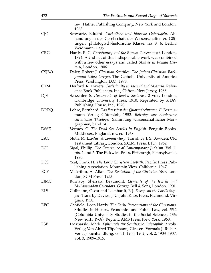|              | rev., Hafner Publishing Company, New York and London,<br>1968.                                                                                                                                                                                   |
|--------------|--------------------------------------------------------------------------------------------------------------------------------------------------------------------------------------------------------------------------------------------------|
| CJO          | Schwartz, Eduard. Christliche und jüdische Ostertafeln. Ab-<br>handlungen der Gesellschaft der Wissenschaften zu Göt-<br>tingen, philologisch-historische Klasse, n.s 8, 6. Berlin:<br>Weidmann, 1905.                                           |
| <b>CRG</b>   | Hardy, E. G. Christianity and the Roman Government. London,<br>1894. A 2nd ed. of this indispensable work was combined<br>with a few other essays and called Studies in Roman His-<br>tory, London, 1906.                                        |
| <b>CSJBO</b> | Daley, Robert J. Christian Sacrifice: The Judaeo-Christian Back-<br>ground before Origen. The Catholic University of America<br>Press, Washington, D.C., 1978.                                                                                   |
| <b>CTM</b>   | Herford, R. Travers. Christianity in Talmud and Midrash. Refer-<br>ence Book Publishers, Inc., Clifton, New Jersey, 1966.                                                                                                                        |
| <b>DJS</b>   | Schechter, S. Documents of Jewish Sectaries. 2 vols. London,<br>Cambridge University Press, 1910. Reprinted by KTAV<br>Publishing House, Inc., 1970.                                                                                             |
| <b>DPDQ</b>  | Lohse, Bernhard. Das Passafest der Quartadecimaner. C. Bertels-<br>mann Verlag Gütersloh, 1953. Beiträge zur Förderung<br>christlicher Theologie, Sammlung wissenschaftlicher Mon-<br>graphien, band 54.                                         |
| <b>DSSE</b>  | Vermes, G. The Dead Sea Scrolls in English. Penguin Books,<br>Middlesex, England, rev. ed. 1968.                                                                                                                                                 |
| EAC          | Noth, M. Exodus: A Commentary. Transl. by J. S. Bowden. Old<br>Testament Library, London: S.C.M. Press, LTD., 1962.                                                                                                                              |
| ECJ          | Sigal, Phillip. The Emergence of Contemporary Judaism. Vol. 1,<br>pts. 1 and 2. The Pickwick Press, Pittsburgh, Pennsylvania,<br>1980.                                                                                                           |
| ECS          | Yost, Frank H. The Early Christian Sabbath. Pacific Press Pub-<br>lishing Association, Mountain View, California, 1947.                                                                                                                          |
| ECY          | McArthur, A. Allan. The Evolution of the Christian Year. Lon-<br>don, SCM Press, 1953.                                                                                                                                                           |
| EJMC         | Burnaby, Sherrard Beaumont. Elements of the Jewish and<br>Muhammadan Calendars. George Bell & Sons, London, 1901.                                                                                                                                |
| <b>ELS</b>   | Cullmann, Oscar and Leenhardt, F. J. Essays on the Lord's Sup-<br><i>per</i> . Trans by Davies, J. G. John Knox Press, Richmond, Vir-<br>ginia, 1958.                                                                                            |
| <b>EPC</b>   | Canfield, Leon Hardy. The Early Persecutions of the Christians.<br>Stludies in History, Economics and Public Law, vol. 55.2<br>(Columbia University Studies in the Social Sciences, 136;<br>New York, 1968). Reprint: AMS Press, New York, 1968. |
| ESE          | Lidzbarski, Mark. Ephemeris für Semitische Epigraphik. 3 vols.<br>Verlag Von Alfred Töpelmann, Giessen. Vormals J. Richer.<br>Verlagsbuchhandlung, vol. 1, 1900–1902, vol. 2, 1903–1907,<br>vol. 3, 1909–1915.                                   |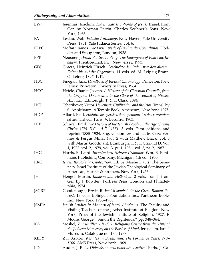| EWJ          | Jeremias, Joachim. The Eucharistic Words of Jesus. Transl. from<br>Ger. by Norman Perrin. Charles Scribner's Sons, New                                                                                                                                                                                                                                                                     |
|--------------|--------------------------------------------------------------------------------------------------------------------------------------------------------------------------------------------------------------------------------------------------------------------------------------------------------------------------------------------------------------------------------------------|
| FA           | York, 1966.<br>Leslau, Wolf. Falasha Anthology. New Haven, Yale University<br>Press, 1951. Yale Judaica Series, vol. 6.                                                                                                                                                                                                                                                                    |
| <b>FEPC</b>  | Moffatt, James. The First Epistle of Paul to the Corinthinas. Hod-<br>der and Stoughton, London, 1938.                                                                                                                                                                                                                                                                                     |
| <b>FPP</b>   | Neusner, J. From Politics to Piety: The Emergence of Pharisaic Ju-<br>daism. Prentice-Hall, Inc., New Jersey, 1973.                                                                                                                                                                                                                                                                        |
| GDJ          | Graetz, Heinrich Hirsch. Geschichte der Juden von den ältesten<br>Zeiten bis auf die Gegenwart. 11 vols. ed. M. Leipzig Brann.<br>O. Leiner, 1897-1911.                                                                                                                                                                                                                                    |
| <b>HBC</b>   | Finegan, Jack. Handbook of Biblical Chronology. Princeton, New<br>Jersey, Princeton University Press, 1964.                                                                                                                                                                                                                                                                                |
| <b>HCC</b>   | Hefele, Charles Joseph. A History of the Christian Councils, from<br>the Original Documents, to the Close of the council of Nicaea,<br>A.D. 325; Edinburgh: T. & T. Clark, 1894.                                                                                                                                                                                                           |
| HCJ          | Tcherikover, Victor. Hellenistic Civilization and the Jews. Transl. by<br>S. Applebaum. A Temple Book, Atheneum, New York, 1975.                                                                                                                                                                                                                                                           |
| <b>HDP</b>   | Allard, Paul. Histoire des persécutions pendant les deux premiers<br>siècles. 3rd ed., Paris, V. Lecoffre, 1903.                                                                                                                                                                                                                                                                           |
| HJP          | Schürer, Emil. The History of the Jewish People in the Age of Jesus<br>Christ $(175 B.C. - A.D. 135)$ . 3 vols. First editions and<br>reprints 1885–1924. Eng. version rev. and ed. by Geza Ver-<br>mes & Fergus Millar (vol. 2 with Matthew Black; vol. 3<br>with Martin Goodman). Edinburgh, T. & T. Clark LTD. Vol.<br>1, 1973. vol. 2, 1979, vol. 3, pt. 1, 1986, vol. 3, pt. 2, 1987. |
| <b>IHG</b>   | Harris, R. Laird. Introductory Hebrew Grammar. Wm. B. Eerd-<br>mans Publishing Company, Michigan. 4th ed., 1955.                                                                                                                                                                                                                                                                           |
| <b>IIRC</b>  | <i>Israel: Its Role in Civilization. Ed. by Moshe Davis. The Semi-</i><br>nary Israel Institute of the Jewish Theological Seminary of<br>American, Harper & Brothers, New York, 1956.                                                                                                                                                                                                      |
| JH           | Hengel, Martin. Judaism and Hellenism. 2 vols. Transl. from<br>Ger. by J. Bowden. Fortress Press, London and Philadel-<br>phia, 1974.                                                                                                                                                                                                                                                      |
| <b>JSGRP</b> | Goodenough, Erwin R. Jewish symbols in the Greco-Roman Pe-<br>riod. 13 vols. Bolingen Foundation Inc., Pantheon Books<br>Inc., New York, 1953-1968.                                                                                                                                                                                                                                        |
| JSMIA        | Jewish Studies in Memory of Israel Abrahams. The Faculty and<br>Visting Teachers of the Jewish Institute of Relgion. New<br>York, Press of the Jewish institute of Religion, 1927. F.<br>Moore, George, "Simon the Righteous," pp. 348-364.                                                                                                                                                |
| KА           | Meshel, Z. Kuntillet 'Ajrud. A Religious Centre from the Time of<br>the Judaean Monarchy on the Border of Sinai, Jerusalem, Israel<br>Museum, Catalogue no. 175, 1978.                                                                                                                                                                                                                     |
| <b>KBFY</b>  | Zvi, Ankori. Karaites in Byzantium: The Formative Years, 970–<br>1100. AMS Press, New York, 1968.                                                                                                                                                                                                                                                                                          |
| LD           | Audet, J.-P. La Didachè, instructions des Apôtres. Paris, J. Ga-                                                                                                                                                                                                                                                                                                                           |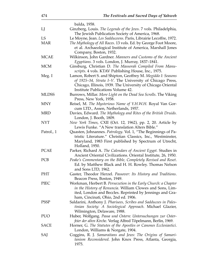| 474          | The Festivals and Sacred Days of Yahweh                                                                                                                                                                                        |
|--------------|--------------------------------------------------------------------------------------------------------------------------------------------------------------------------------------------------------------------------------|
|              | balda, 1958.                                                                                                                                                                                                                   |
| LJ           | Ginzberg, Louis. The Legends of the Jews. 7 vols. Philadelphia,<br>The Jewish Publication Society of America, 1968.                                                                                                            |
| LS           | Le Moyne, Jean. Les Sadduceens. Paris, Librairie Lecoffre, 1972.                                                                                                                                                               |
| <b>MAR</b>   | The Mythology of All Races. 13 vols. Ed. by George Foot Moore,<br>et al. Archaeological Institute of America, Marshall Jones<br>Company, Boston, 1932.                                                                         |
| <b>MCAE</b>  | Wilkinson, John Gardner. Manners and Customs of the Ancient<br>Egyptians. 3 vols. London, J. Murray, 1837-1841.                                                                                                                |
| <b>MCM</b>   | Ginsburg, Christian D. The Massorah Compiled From Manu-<br>scripts. 4 vols. KTAV Publishing House, Inc., 1975.                                                                                                                 |
| Meg. I       | Lamon, Robert S. and Shipton, Geoffrey M. Megiddo I: Seasons<br>of 1925–34, Strata I–V. The University of Chicago Press,<br>Chicago, Illinois, 1939. The University of Chicago Oriental<br>Institute Publications Volume 42.   |
| <b>MLDSS</b> | Burrows, Millar. More Light on the Dead Sea Scrolls. The Viking<br>Press, New York, 1958.                                                                                                                                      |
| <b>MNY</b>   | Reisel, M. The Mysterious Name of Y.H.W.H. Royal Van Gor-<br>cum LTD., Assen, Netherlands, 1957.                                                                                                                               |
| <b>MRD</b>   | Davies, Edward. The Mythology and Rites of the British Druids.<br>London, J. Booth, 1809.                                                                                                                                      |
| <b>NYT</b>   | New York Times, CXII (Oct. 12, 1962), pp. 2, 20. Article by<br>Lewis Funke. "A New translation Alters Bible."                                                                                                                  |
| Patrol., 1   | Quasten, Johnannes. Patrology. Vol. 1, "The Beginnings of Pa-<br>tristic Literature." Christian Classics, Inc., Westminster,<br>Maryland, 1983 First published by Spectrum of Utrecht,<br>Holland, 1950.                       |
| <b>PCAE</b>  | Parker, Richard A. The Calendars of Ancient Egypt. Studies in<br>Ancient Oriental Civilizations. Oriental Institute, 26, 1950.                                                                                                 |
| <b>PCB</b>   | Peake's Commentary on the Bible, Completely Revised and Reset.<br>Ed. by Matthew Black and H. H. Rowley. Thomas Nelson<br>and Sons LTD, 1962.                                                                                  |
| <b>PHT</b>   | Gaster, Theodor Herzel. Passover: Its History and Traditions.<br>Beacon Press, Boston, 1949.                                                                                                                                   |
| PIEC         | Workman, Herbert B. Persecution in the Early Church: a Chapter<br>in the History of Renuncia. William Clowes and Sons, Lim-<br>ited, London and Beccles. Reprinted by Jennings and Gra-<br>ham, Cincinati, Ohio, 2nd ed. 1906. |
| <b>PSSP</b>  | Saldarini, Anthony J. Pharisees, Scribes and Sadducees in Pales-<br>tinian Society: A Sociological Approach. Michael Glazier,<br>Wilmington, Delaware, 1988.                                                                   |
| <b>PUO</b>   | Huber, Wolfgang. Passa und Ostern: Untersuchungen zur Oster-<br>feier der alten Kirche. Verlag Alfred Töpelmann, Berlin, 1969.                                                                                                 |
| <b>SACE</b>  | Horner, G. The Statutes of the Apostles or Canones Ecclesiastici.<br>London, Williams & Norgate, 1904.                                                                                                                         |
| SAJ          | Coggins, R. J. Samaraitans and Jews: The Origins of Samari-<br>tanism Reconsidered. John Knox Press, Atlanta, Georgia,<br>1975.                                                                                                |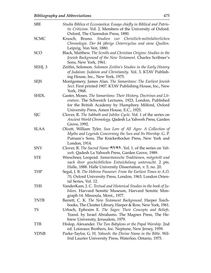| <b>SBE</b>  | Studia Biblica et Eccesiastica: Essays chiefly in Biblical and Patris-<br>tic Criticism. Vol. 2. Members of the University of Oxford.                                                                                           |
|-------------|---------------------------------------------------------------------------------------------------------------------------------------------------------------------------------------------------------------------------------|
| <b>SCMC</b> | Oxford, The Clarendon Press, 1890.<br>Krusch, Bruno. Studien zur Christlich-mittelalterlichen<br>Chronologie. Der 84 jährige Osterrcyclus und siene Quellen.<br>Leipzig, Von Veit, 1880.                                        |
| <b>SCO</b>  | Black, Matthew. The Scrolls and Christian Origins: Studies in the<br>Jewish Background of the New Testament. Charles Scribner's<br>Sons, New York, 1961.                                                                        |
| SEHJ, 3     | Zeitlin, Solomon. Solomon Zeitlin's Studies in the Early History<br>of Judaism: Judaism and Christianity. Vol. 3. KTAV Publish-<br>ing House, Inc., New York, 1975.                                                             |
| <b>SEJS</b> | Montgomery, James Alan. The Samaritans: The Earliest Jewish<br>Sect. First printed 1907. KTAV Publishing House, Inc., New<br>York, 1968.                                                                                        |
| <b>SHDL</b> | Gaster, Moses. The Samaritans: Their History, Doctrines and Lit-<br>erature. The Schweich Lectures, 1923, London, Published<br>for the British Academy by Humphrey Milford, Oxford<br>University Press, Amen House, E.C., 1925. |
| <b>SJC</b>  | Clover, R. The Sabbath and Jubilee Cycle. Vol. 1 of the series on<br>Ancient World Chronology. Qadesh La Yahweh Press, Garden<br>Grove, 1992.                                                                                   |
| <b>SLAA</b> | Olcott, William Tyler. Sun Lore of All Ages: A Collection of<br>Myths and Legends Concerning the Sun and Its Worship. G. P.<br>Putnam's Sons, The Knickerbocker Press, New York and<br>London, 1914.                            |
| <b>SNY</b>  | Clover, R. The Sacred Name AYA <sup>1</sup> . Vol. 1. of the series on Yah-<br>weh. Qadesh La Yahweh Press, Garden Grove, 1989.                                                                                                 |
| <b>STE</b>  | Wreschner, Leopoid. Samaritanische Traditionen, mitgeteilt und<br>nach ihrer geschichtlichen Entwickelung untersucht. 2 pts.<br>Halle, 1888. Halle University Dissertation, v. 5, no. 20.                                       |
| <b>THP</b>  | Segal, J. B. The Hebrew Passover: From the Earliest Times to A.D.<br>70, Oxford University Press, London, 1963. London Orien-<br>tal Series, Vol. 12.                                                                           |
| THS         | VanderKam, J. C. Textual and Historical Studies in the book of Ju-<br>bilees. Harvard Semitic Museum, Harvard Semitic Mon-<br>graph 14. Missoula, Mont., 1977.                                                                  |
| <b>TNTB</b> | Barrett, C. K. The New Testament Background. Harper Torch-<br>books, The Clositer Library, Harper & Row, New York, 1961.                                                                                                        |
| TS          | Urbach, Ephraim E. The Sages: Their Concepts and Beliefs.<br>Transl. by Israel Abrahams. The Magnes Press, The He-<br>brew University, Jerusalem, 1979.                                                                         |
| <b>TTB</b>  | Hislop, Alexander. The Two Babylons or the Papal Worship. 2nd<br>ed. Loizeaux Brothers, Inc. Neptune, New Jersey, 1959.                                                                                                         |
| YDNB        | Parke-Taylor, G. H. Yahweh: the Divine Name in the Bible. Wil-<br>frid Laurier University Press, Waterloo, Ontario, 1975.                                                                                                       |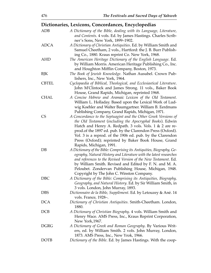# **Dictionaries, Lexicons, Concordances, Encyclopedias**

| <b>ADB</b>   | A Dictionary of the Bible, dealing with its Language, Literature,<br>and Contents. 4 vols. Ed. by James Hastings. Charles Scrib-                                                                                                                                                                                                                                                                      |
|--------------|-------------------------------------------------------------------------------------------------------------------------------------------------------------------------------------------------------------------------------------------------------------------------------------------------------------------------------------------------------------------------------------------------------|
| <b>ADCA</b>  | ner's Sons, New York, 1899-1902.<br>A Dictionary of Christian Antiquities. Ed. by William Smith and<br>Samuel Cheetham, 2 vols., Hartford: the J. B. Burr Publish-<br>ing Co., 1880. Kraus reprint Co. New York, 1968.                                                                                                                                                                                |
| <b>AHD</b>   | The American Heritage Dictionary of the English Language. Ed.<br>by William Morris. American Heritage Publishing Co., Inc.<br>and Houghton Mifflin Company, Boston, 1973.                                                                                                                                                                                                                             |
| BJK          | The Book of Jewish Knowledge. Nathan Ausubel. Crown Pub-<br>lishers, Inc., New York, 1964.                                                                                                                                                                                                                                                                                                            |
| <b>CBTEL</b> | Cyclopaedia of Biblical, Theological, and Ecclesiastical Literature.<br>John M'Clintock and James Strong. 11 vols., Baker Book<br>House, Grand Rapids, Michigan, reprinted 1968.                                                                                                                                                                                                                      |
| <b>CHAL</b>  | A Concise Hebrew and Aramaic Lexicon of the Old Testament.<br>William L. Holladay. Based upon the Lexical Work of Lud-<br>wig Koehler and Walter Baumgartner. William B. Eerdmans<br>Publishing Company, Grand Rapids, Michigan, 1971.                                                                                                                                                                |
| <b>CS</b>    | A Concordance to the Septuagint and the Other Greek Versions of<br>the Old Testament (including the Apocryphal Books). Edwin<br>Hatch and Henry A. Redpath. 3 vols. Vols. 1 & 2 are re-<br>prod.of the 1897 ed. pub. by the Clarendon Press (Oxford).<br>Vol. 3 is a reprod. of the 1906 ed. pub. by the Clarendon<br>Press (Oxford); reprinted by Baker Book House, Grand<br>Rapids, Michigan, 1991. |
| $DB$         | A Dictionary of the Bible: Comprising its Antiquities, Biography, Ge-<br>ography, Natural History and Literature with the latest researches<br>and references to the Revised Version of the New Testament. Ed.<br>by William Smith. Revised and Edited by F. N. and M. A.<br>Peloubet. Zondervan Publishing House, Michigan, 1948.<br>Copyright by The John C. Winston Company.                       |
| <b>DBC</b>   | A Dictionary of the Bible: Comprising its Antiquities, Biography,<br>Geography, and Natural History. Ed. by Sir William Smith, in<br>3 vols. London, John Murray, 1893.                                                                                                                                                                                                                               |
| <b>DBS</b>   | Dictionnaire de la Bible, Supplément. Ed. by Letouzey & Ané. 14<br>vols. France, 1928-.                                                                                                                                                                                                                                                                                                               |
| <b>DCA</b>   | Dictionary of Christian Antiquities. Smith-Cheetham. London,<br>1880.                                                                                                                                                                                                                                                                                                                                 |
| <b>DCB</b>   | A Dictionary of Christian Biography. 4 vols. William Smith and<br>Henry Wace. AMS Press, Inc., Kraus Reprint Corporation,<br>New York, 1967.                                                                                                                                                                                                                                                          |
| <b>DGRG</b>  | A Dictionary of Greek and Roman Geography. By Various Writ-<br>ers, ed. by William Smith. 2 vols. John Murray, London,<br>1873. AMS Press, Inc., New Yrok, 1966.                                                                                                                                                                                                                                      |
| <b>DOTB</b>  | Dictionary of the Bible. Ed. by James Hastings. With the coop-                                                                                                                                                                                                                                                                                                                                        |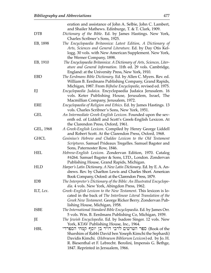|             | eration and assistance of John A. Selbie, John C. Lambert,           |
|-------------|----------------------------------------------------------------------|
|             | and Shailer Mathews. Edinburge, T. & T. Clark, 1909.                 |
| <b>DTB</b>  | Dictionary of the Bible. Ed. by James Hastings. New York,            |
|             | Charles Scribner's Sons, 1925.                                       |
| EB, 1898    | The Encyclopaedia Britannica: Latest Edition, A Dictionary of        |
|             | Arts, Sciences and General Literature. Ed. by Day Otis Kel-          |
|             | logg. 30 vols. with New American Supplement. New York,               |
|             | the Werner Company, 1898.                                            |
| EB, 1910    | The Encyclopaedia Britannica: A Dictionary of Arts, Sciences, Liter- |
|             | ature and General Information. 11th ed. 29 vols. Cambridge,          |
|             | England: at the University Press, New York, 1910.                    |
| <b>EBD</b>  | The Eerdmans Bible Dictionary. Ed. by Allen C. Myers. Rev. ed.       |
|             | William B. Eerdmans Publishing Company, Grand Rapids,                |
|             | Michigan, 1987. From Bijbelse Encyclopedie, revised ed. 1975.        |
| ΕJ          | Encyclopaedia Judaica. Encyclopaedia Judaica Jerusalem. 16           |
|             | vols. Keter Publishing House, Jerusalem, Israel, The                 |
|             | Macmillian Company, Jerusalem, 1972.                                 |
| ERE         | Encyclopaedia of Religion and Ethics. Ed. by James Hastings. 13      |
|             | vols. Charles Scribner's Sons, New York, 1951.                       |
| <b>GEL</b>  | An Intermediate Greek-English Lexicon. Founded upon the sev-         |
|             | enth ed. of Liddell and Scott's Greek-English Lexicon. At            |
|             | the Clarendon Press, Oxford, 1961.                                   |
| GEL, 1968   | A Greek-English Lexicon. Compiled by Henry George Liddell            |
|             | and Robert Scott. At the Clarendon Press, Oxford, 1968.              |
| <b>GHCL</b> | Gesinius's Hebrew and Chaldee Lexicon to the Old Testament           |
|             | Scriptures. Samuel Prideaux Tregelles. Samuel Bagster and            |
|             | Sons, Paternoster Row, 1846.                                         |
| HEL         | Hebrew-English Lexicon. Zondervan Edition, 1970. Catalog             |
|             | #6264. Samuel Bagster & Sons, LTD., London. Zondervan                |
|             | Publishing House, Grand Rapids, Michigan.                            |
| HLD         | Harper's Latin Dictionary. A New Latin Dictionary. Ed. by E. A. An-  |
|             | drews. Rev. by Charlton Lewis and Charles Short. American            |
|             | Book Company, Oxford: at the Clarendon Press, 1879.                  |
| <b>IDB</b>  | The Interpreter's Dictionary of the Bible: An Illustrated Encyclope- |
|             | dia. 4 vols. New York, Abingdon Press, 1962.                         |
| ILT, Lex.   | Greek–English Lexicon to the New Testament. This lexicon is lo-      |
|             | cated in the back of The Interlinear Literal Translation of the      |
|             | Greek New Testament. George Ricker Berry. Zondervan Pub-             |
|             | lishing House, Michigan, 1958.                                       |
| <b>ISBE</b> | The International Standard Bible Encyclopaedia. Ed. by James Orr.    |
|             | 5 vols. Wm. B. Eerdmans Publishing Co, Michigan, 1939.               |
| JE          | The Jewish Encyclopedia. Ed. by Isadore Singer. 12 vols. New         |
|             | York, KTAV Publishing House, Inc., 1964.                             |
| HBL         | Book of the) ספר השרשים לרבי דויד בן יוסף קמחי הספרדי                |
|             | Sharshim of Rabbi David ben Yoseph Kimchi the Sephardi)              |
|             | Davidis Kimchi. (Hebraeum Bibliorum Lexicon) ed. by Jo. H.           |
|             | R. Biesenthal et F. Lebrecht. Berolini, Impensis G. Bethge,          |
|             | 1847. Reprinted in Jersualem, 1966.                                  |
|             |                                                                      |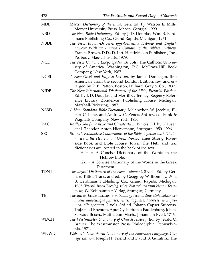| 478         | The Festivals and Sacred Days of Yahweh                                                                                                                                                                                                                                                                                                                                                  |
|-------------|------------------------------------------------------------------------------------------------------------------------------------------------------------------------------------------------------------------------------------------------------------------------------------------------------------------------------------------------------------------------------------------|
| <b>MDB</b>  | Mercer Dictionary of the Bible. Gen. Ed. by Watson E. Mills.<br>Mercer University Press, Macon, Georgia, 1990.                                                                                                                                                                                                                                                                           |
| <b>NBD</b>  | The New Bible Dictionary. Ed. by J. D. Doublas. Wm. B. Eerd-<br>mans Publishing Co., Grand Rapids, Michigan, 1971.                                                                                                                                                                                                                                                                       |
| <b>NBDB</b> | The New Brown-Driver-Briggs-Genenius Hebrew and English<br>Lexicon With an Appendix Containing the Biblical Hebrew.<br>Francis Brown, D.D., D. Litt. Hendrickson Publishers, Inc.,<br>Peabody, Massachusetts, 1979.                                                                                                                                                                      |
| <b>NCE</b>  | The New Catholic Encyclopedia. 16 vols. The Catholic Univer-<br>sity of America, Washington, D.C. McGraw-Hill Book<br>Company, New York, 1967.                                                                                                                                                                                                                                           |
| <b>NGEL</b> | A New Greek and English Lexicon, by James Donnegan, first<br>American, from the second London Edition, rev. and en-<br>larged by R. B. Patton, Boston, Hilliard, Gray & Co., 1837.                                                                                                                                                                                                       |
| <b>NIDB</b> | The New International Dictionary of the Bible, Pictorial Edition.<br>Ed. by J. D. Douglas and Merrill C. Tenney. Regency Refer-<br>ence Library, Zondervan Publishing House, Michigan,<br>Marshall-Pickering, 1987.                                                                                                                                                                      |
| <b>NSBD</b> | A New Standard Bible Dictionary. Melancthon W. Jacobus, El-<br>bert C. Lane, and Andrew C. Zenos. 3rd rev. ed. Funk &<br>Wagnalls Company, New York, 1936.                                                                                                                                                                                                                               |
| <b>RAC</b>  | Reallexikon für Antike und Christentum. 17 vols. Ed. by Klauser,<br>et al. Theodor. Anton Hiersemann, Stuttgart, 1950–1996.                                                                                                                                                                                                                                                              |
| <b>SEC</b>  | Strong's Exhaustive Concordance of the Bible, together with Dictio-<br>naries of the Hebrew and Greek Words. James Strong. River-<br>side Book and Bible House, Iowa. The Heb. and Gk.<br>dictionaries are located in the back of the text.<br>Heb. $=$ A Concise Dictionary of the Words in the<br>Hebrew Bible.<br>$Gk = A$ Concise Dictionary of the Words in the Greek<br>Testament. |
| <b>TDNT</b> | Theological Dictionary of the New Testament. 8 vols. Ed. by Ger-<br>hard Kittel. Trans. and ed. by Geoggrey W. Bromiley. Wm.<br>B. Eerdmans Publishing Co., Grand Rapids, Michigan,<br>1965. Transl. from Theologisches Wörterbuch zum Neuen Testa-<br>ment, W. Kohlhammer Verlag, Stuttgart, Germany.                                                                                   |
| TE          | Thesaurus Ecclesiasticus, e patribus graecis ordine alphabetico ex-<br>hibens quaecunque phrases, ritus, dogmata, haereses, & hujus-<br>modi alia spectant. 2 vols. 3rd ed. Johann Capser Suicerus.<br>Trajecti ad Rhenum, Aput Gysbertum a Paddenburg, Johan.<br>Servass. Bosch., Matthaeum Visch., Johannem Evelt, 1746.                                                               |
| <b>WDCH</b> | The Westminster Dictionary of Church History. Ed. by Jerald C.<br>Brauer. The Westminster Press, Philadelphia, Pennsylva-<br>nia, 1971.                                                                                                                                                                                                                                                  |
| <b>WNWD</b> | Webster's New World Dictionary of the American Language, Col-<br>lege Edition. Joseph H. Friend and David B. Guralnik. The                                                                                                                                                                                                                                                               |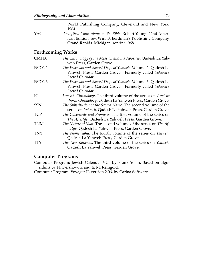World Publishing Company, Cleveland and New York, 1964.

YAC *Analytical Concordance to the Bible*. Robert Young. 22nd American Edition, rev. Wm. B. Eerdman's Publishing Company, Grand Rapids, Michigan, reprint 1968.

#### **Forthcoming Works**

| <b>CMHA</b> | The Chronology of the Messiah and his Apostles. Qadesh La Yah-<br>weh Press, Garden Grove.                                               |
|-------------|------------------------------------------------------------------------------------------------------------------------------------------|
| FSDY, 2     | The Festivals and Sacred Days of Yahweh. Volume 2. Qadesh La<br>Yahweh Press, Garden Grove. Formerly called Yahweh's<br>Sacred Calendar. |
| FSDY, 3     | The Festivals and Sacred Days of Yahweh. Volume 3. Qadesh La<br>Yahweh Press, Garden Grove. Formerly called Yahweh's<br>Sacred Calendar. |
| IC          | Israelite Chronology. The third volume of the series on Ancient<br>World Chronology. Qadesh La Yahweh Press, Garden Grove.               |
| <b>SSN</b>  | The Substitution of the Sacred Name. The second volume of the<br>series on Yahweh. Qadesh La Yahweh Press, Garden Grove.                 |
| <b>TCP</b>  | The Covenants and Promises. The first volume of the series on<br>The Afterlife. Qadesh La Yahweh Press, Garden Grove.                    |
| <b>TNM</b>  | The Nature of Man. The second volume of the series on The Af-<br>terlife. Qadesh La Yahweh Press, Garden Grove.                          |
| <b>TNY</b>  | <i>The Name Yahu.</i> The fourth volume of the series on <i>Yahweh</i> .<br>Qadesh La Yahweh Press, Garden Grove.                        |
| <b>TTY</b>  | The Two Yahwehs. The third volume of the series on Yahweh.<br>Qadesh La Yahweh Press, Garden Grove.                                      |

#### **Computer Programs**

Computer Program: Jewish Calendar V2.0 by Frank Yellin. Based on algorithms by N. Dershowitz and E. M. Reingold.

Computer Program: Voyager II, version 2.06, by Carina Software.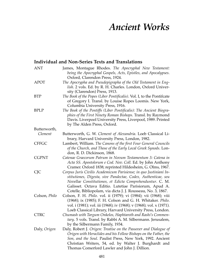# *Ancient Works*

#### **Individual and Non-Series Texts and Translations**

| <b>ANT</b>    | James, Montague Rhodes. The Apocryphal New Testament:<br>being the Apocryphal Gospels, Acts, Epistles, and Apocalypses.                                                                                                                                                                                                  |
|---------------|--------------------------------------------------------------------------------------------------------------------------------------------------------------------------------------------------------------------------------------------------------------------------------------------------------------------------|
|               | Oxford, Clarendon Press, 1924.                                                                                                                                                                                                                                                                                           |
| <b>APOT</b>   | The Apocrypha and Pseudepigrapha of the Old Testament in Eng-<br>lish. 2 vols. Ed. by R. H. Charles. London, Oxford Univer-<br>sity (Clarendon) Press, 1913.                                                                                                                                                             |
| <b>BTP</b>    | The Book of the Popes (Liber Pontificalis). Vol. I, to the Pontifcate<br>of Gregory I. Transl. by Louise Ropes Loomis. New York,<br>Columbia University Press, 1916.                                                                                                                                                     |
| <b>BPLP</b>   | The Book of the Pontiffs (Liber Pontificalis): The Ancient Biogra-<br>phies of the First Ninety Roman Bishops. Transl. by Raymond<br>Davis. Liverpool University Press, Liverpool, 1989. Printed<br>by The Alden Press, Oxford.                                                                                          |
| Butterworth,  |                                                                                                                                                                                                                                                                                                                          |
| Clement       | Butterworth, G. W. Clement of Alexandria. Loeb Classical Li-<br>brary, Harvard University Press, London, 1982.                                                                                                                                                                                                           |
| <b>CFFGC</b>  | Lambert, William. The Canons of the first Four General Councils<br>of the Church, and Those of the Early Local Greek Synods. Lon-<br>don, R. D. Dickinson, 1868.                                                                                                                                                         |
| <b>CGPNT</b>  | Catenae Graecorum Patrum in Novum Testamentum 3: Catena in<br>Acta SS. Apostolorum e Cod. Nov. Coll. Ed. by John Anthony<br>Cramer. Oxford 1838; reprinted Hildesheim, G. Olms, 1967.                                                                                                                                    |
| <b>CJC</b>    | Corpus Juris Civilis Academicum Parisiense; in quo Justiniani In-<br>stitutiones, Digesta, sive Pandectae, Codex, Authenticae, seu<br>Novellae Constitutiones, et Edicta Comprehenduntur. C. M.<br>Galisset. Octava Editio. Lutetiae Parisiorum, Apud A.<br>Cotelle, Bibliopolam, via dicta J. J. Rousseau, No. 3, 1867. |
| Colson, Philo | Colson, F. H. Philo. vol. ii (1979); vi (1984); vii (1968); viii<br>(1968); ix (1985); F. H. Colson and G. H. Whitaker. Philo.<br>vol. i (1981); vol. iii (1968); iv (1968); v (1968); vol. x (1971).<br>Loeb Classical Library, Harvard University Press, London.                                                       |
| <b>CTRC</b>   | Chumash with Targum Onkelos, Haphtaroth and Rashi's Commen-<br>tary. 5 vols. Transl. by Rabbi A. M. Silbermann. Jerusalem,<br>by the Silbermann Family, 1934.                                                                                                                                                            |
| Daly, Origen  | Daly, Robert J. Origen: Treatise on the Passover and Dialogue of<br>Origen with Heraclides and his Fellow Bishops on the Father, the<br>Son, and the Soul. Paulist Press, New York, 1992. Ancient<br>Christian Writers, 54, ed. by Walter J. Burghardt and<br>Thomas Comerford Lawler and John J. Dillion.               |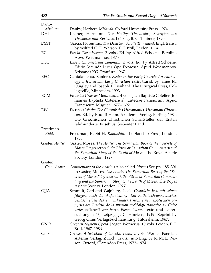| Danby,         |                                                                                                                                                                                                                                                                                                                                                                                                                                         |
|----------------|-----------------------------------------------------------------------------------------------------------------------------------------------------------------------------------------------------------------------------------------------------------------------------------------------------------------------------------------------------------------------------------------------------------------------------------------|
| Mishnah        | Danby, Herbert. Mishnah. Oxford University Press, 1974.                                                                                                                                                                                                                                                                                                                                                                                 |
| <b>DHT</b>     | Usener, Hermann. Der Heilige Theodosios; Schriften des<br>Theodoros und Kyriollos. Leipsig, B. G. Teubner, 1890.                                                                                                                                                                                                                                                                                                                        |
| <b>DSST</b>    | Garcia, Florentino. The Dead Sea Scrolls Translated. Engl. transl.<br>by Wilfred G. E. Watson. E. J. Brill, Leiden, 1994.                                                                                                                                                                                                                                                                                                               |
| EC             | Evsebi Chronicorvm. 2 vols., Ed. by Alfred Schoene. Berolini,<br>Apvd Weidmannos, 1875                                                                                                                                                                                                                                                                                                                                                  |
| ECC            | Eusebi Chronicorum Canonum. 2 vols. Ed. by Alfred Schoene.<br>Editio Secunda Lucis Ope Expressa, Apud Weidmannos,<br>Kristandt KG, Franfurt, 1967.                                                                                                                                                                                                                                                                                      |
| <b>EEC</b>     | Cantalamessa, Raniero. Easter in the Early Church: An Anthol-<br>ogy of Jewish and Early Christian Texts. transl. by James M.<br>Quigley and Joseph T. Lienhard. The Liturgical Press, Col-<br>legeville, Minnesota, 1993.                                                                                                                                                                                                              |
| <b>EGM</b>     | Ecclesiae Graecae Monumenta. 4 vols. Jean Baptiste Cotelier (Jo-<br>hannes Baptista Cotelerius). Luteciae Parisiorum, Apud<br>Franciscum Muguet, 1677-1692.                                                                                                                                                                                                                                                                             |
| EW             | Eusebius Werke: Die Chronik des Hieronymus, Hieronymi Chroni-<br>con. Ed. by Rudolf Helm. Akademie-Verlag, Berline, 1984.<br>Die Griechischen Christlichen Schriftsteller der Ersten<br>Jahrhunderte, Eusebius, Siebenter Band.                                                                                                                                                                                                         |
| Freedman,      |                                                                                                                                                                                                                                                                                                                                                                                                                                         |
| Kidd.          | Freedman, Rabbi H. Kiddushin. The Soncino Press, London,<br>1936.                                                                                                                                                                                                                                                                                                                                                                       |
| Gaster, Asatir | Gaster, Moses. The Asatir: The Samaritan Book of the "Secrets of<br>Moses," together with the Pitron or Samaritan Commentary and<br>the Samaritan Story of the Death of Moses. The Royal Asiatic<br>Society, London, 1927.                                                                                                                                                                                                              |
| Gaster,        |                                                                                                                                                                                                                                                                                                                                                                                                                                         |
| Com. Asatir.   | Commentary to the Asatir. (Also called Pitron) See pp. 185–301<br>in Gaster, Moses. The Asatir: The Samaritan Book of the "Se-<br>crets of Moses," together with the Pitron or Samaritan Commen-<br>tary and the Samaritan Story of the Death of Moses. The Royal<br>Asiatic Society, London, 1927.                                                                                                                                     |
| GJJA           | Schmidt, Carl and Wajnberg, Isaak. Gespräche Jesu mit seinen<br>Jüngern nach der Auferstehung. Ein Katholisch-apostolisches<br>Sendschreiben des 2. Jahrhunderts nach einem koptischen pa-<br>pyrus des Institut de la mission archéolgy française au Caire<br>unter mitarbeit von herrn Pierre Lacau. Texte und Unter-<br>suchungen 43, Leipzig, J. C. Hinrichs, 1919. Reprint by<br>Georg Olms Verlagsbuchhandlung, Hildesheim, 1967. |
| <b>GNO</b>     | Gregorii Nysseni Opera. Jaeger, Wernerus. 10 vols. Leiden, E. J.<br>Brill, 1967–1986.                                                                                                                                                                                                                                                                                                                                                   |
| Gnosis         | Gnosis: A Selection of Gnostic Texts. 2 vols. Werner Foerster.<br>Artemis Verlag, Zürich. Transl. into Eng. by R. McL. Wil-<br>son. Oxford, Clarendon Press, 1972–1974.                                                                                                                                                                                                                                                                 |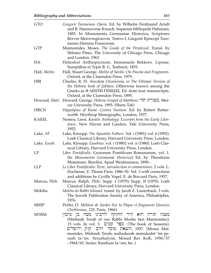| <b>GTO</b>    | Gregorii Turonensis Opera. Ed. by Wilhelm Ferdinand Arndt<br>and B. Hannoverae Krusch. Impensis bibliopolii Hahniani,<br>1885. In Monumenta Germaniae Historica, Scriptores<br>Rervm Merovingicarvm, Tomvs I, Gregorii Episcopi Turo-<br>nensis Historia Francorum.                                                                                            |
|---------------|----------------------------------------------------------------------------------------------------------------------------------------------------------------------------------------------------------------------------------------------------------------------------------------------------------------------------------------------------------------|
| <b>GTP</b>    | Maimonides, Moses. The Guide of the Perplexed. Transl. by<br>Shlomo Pines. The University of Chicago Press, Chicago<br>and London, 1963.                                                                                                                                                                                                                       |
| HA            | Heliodori Aethiopicorum. Immanuele Bekkero. Lipsiae,<br>Sumptibus et Typis B. G. Teubneri, 1855.                                                                                                                                                                                                                                                               |
| Hall, Melito  | Hall, Stuart George. Melito of Sardis: On Pascha and Fragments.<br>Oxford, at the Clarendon Press, 1979.                                                                                                                                                                                                                                                       |
| <b>HBJ</b>    | Charles, R. H. Anecdota Oxoniensia, or The Ethiopic Version of<br>the Hebrew book of Jubilees: Otherwise known among the<br>Greeks as H AEITH FENEZIZ. Ed. from four manuscripts.<br>Oxford, at the Clarendon Press, 1895.                                                                                                                                     |
|               | Howard, Matt. Howard, George. Hebrew Gospel of Matthew: בשורת תהי.<br>cer University Press, 1995. (Shem Tob)                                                                                                                                                                                                                                                   |
| <b>HRCN</b>   | Hippolytus of Rome: Contra Noetum. Ed. by Robert Butter-<br>worth. Heythrop Monographs, London, 1977.                                                                                                                                                                                                                                                          |
| <b>KAEEL</b>  | Nemoy, Leon. Karaite Anthology: Excerpts from the Early Liter-<br>ature. New Haven and London, Yale University Press,<br>1952.                                                                                                                                                                                                                                 |
| Lake, AF      | Lake, Kirsopp. The Apostolic Fathers. Vol. i (1985); vol. ii (1992).<br>Loeb Classical Library, Harvard University Press, London.                                                                                                                                                                                                                              |
| Lake, Euseb.  | Lake, Kirsopp. Eusebius. vol. i (1980); vol. ii (1980). Loeb Clas-<br>sical Library, Harvard University Press, London.                                                                                                                                                                                                                                         |
| LP            | Liber Pontificalis. Gestorum Pontificum Romanorum, vol. 1.<br>(In Monumenta Germaniae Historica) Ed. by Theodorus<br>Mommsen. Berolini, Apud Weidmannos, 1898-.                                                                                                                                                                                                |
| <b>LLP</b>    | Le Liber Pontificalis: Texte, introduction et commentaire. 2 vols. L.<br>Duchesne, E. Thorin Paris. 1886–92. Vol. 3 with corrections<br>and additions by Cyrille Vogel, E. de Boccard Paris, 1957.                                                                                                                                                             |
| Marcus, Philo | Marcus, Ralph. Philo. Supp. I (1979); Supp. II (1970). Loeb<br>Classical Library, Harvard University Press, London.                                                                                                                                                                                                                                            |
| Mekilta       | Mekita de-Rabbi Ishmael. transl. by Jacob Z. Lauterback. 3 vols,<br>The Jewish Publication Society of America, Philadelphia,<br>1976.                                                                                                                                                                                                                          |
| <b>MSSP</b>   | Perler, O. Méliton de Sardes Sur la Pâque et fragments (Sources<br>Chrétiennes, 123, Paris, 1966).                                                                                                                                                                                                                                                             |
| <b>MTRM</b>   | תורה הוא היד החזקה לרבינו משה בן מימון<br>משנה<br>(Mishnah Torah of our Rabbi Moshe ben Maimondes).<br>15 vols. In vol. 3. ומנים (The book of Seasons).<br>הוצאת מוסד הרב קוק ,ירושלים, 1957. (Moses Mai-<br>monides. Mishneh Torah; mahadurah menukedet 'im pe-<br>rush la-'im. Yerushalyim, Mosad Rav KoK, 1956/57<br>-1964/65. Series: Rambam la-'am; be-.) |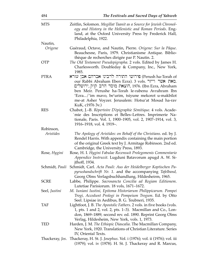| 484             | The Festivals and Sacred Days of Yahweh                                                                                                                                                                                                                                                                                                                       |
|-----------------|---------------------------------------------------------------------------------------------------------------------------------------------------------------------------------------------------------------------------------------------------------------------------------------------------------------------------------------------------------------|
| <b>MTS</b>      | Zeitlin, Solomon. Megillat Taanit as a Source for Jewish Chronol-<br>ogy and History in the Hellenistic and Roman Periods. Eng-<br>land, at the Oxford University Press by Frederick Hall,<br>Philadelphia, 1922.                                                                                                                                             |
| Nautin,         |                                                                                                                                                                                                                                                                                                                                                               |
| Origene         | Guéraud, Octave, and Nautin, Pierre. Origene: Sur la Pâque.<br>Beauchesne, Paris, 1979. Christianisme Antique. Biblio-<br>thèque de recherches dirigée par P. Nautin. 2.                                                                                                                                                                                      |
| <b>OTP</b>      | The Old Testament Pseudepigrapha. 2 vols. Edited by James H.<br>Charlesworth. Doubleday & Company, Inc., New York,<br>1985.                                                                                                                                                                                                                                   |
| <b>PTRA</b>     | פירושי התורה לרבינו אברהם אבן עזרא (Perush ha-Torah of<br>our Rabbi Abraham Eben Ezra). 3 vols. מאת אשר וייזר<br>הוצאת מוסד הרב קוק ,ירושלים, 1976. (Ibn Ezra, Abraham<br>ben Meir. Perushe ha-Torah le-rabenu Avrahram Ibn<br>'Ezra/'im mavo, be'urim, tsiyune mekorot u-makbilot<br>me-at Asher Voyzer. Jerusalem: Hotsa'at Mosad ha-rav<br>KuK, c1976 3v.) |
| <b>RES</b>      | Chabot, J.-B. Répertoire D'épigraphie Sémitique. 4 vols. Acade-<br>mie des Inscriptions et Belles-Lettres. Imprimerie Na-<br>tionale, Paris. Vol. 1, 1900–1905, vol. 2, 1907–1914, vol. 3,<br>1916–1918, vol. 4. 1919–.                                                                                                                                       |
| Robinson,       |                                                                                                                                                                                                                                                                                                                                                               |
| Aristides       | The Apology of Aristides: on Behalf of the Christians. ed. by J.<br>Rendel Harris. With appendix containing the main portion<br>of the original Greek text by J. Armitage Robinson. 2nd ed.<br>Cambridge, the University Press, 1893.                                                                                                                         |
| Rose, Hygini    | Rose, H. I. Hygini Fabulae Recensuit Prolegomenis Commentario<br>Appendice Instruxit. Lugduni Batavorum apugd A. W. Si-<br>jthoff, 1934.                                                                                                                                                                                                                      |
|                 | Schmidt, Pauli Schmidt, Carl. Acta Pauli: Aus der Heidelberger Koptischen Pa-<br>pyrushandschrift Nr. 1. and the accompanying Tafelband,<br>Georg Olms Verlagsbuchhandlung, Hildesheirm, 1965.                                                                                                                                                                |
| <b>SCRE</b>     | Labbe, Philippe. Sacrosancta Concilia ad Regiam Editionem.<br>Lutetiae Parisiorum. 18 vols, 1671-1672.                                                                                                                                                                                                                                                        |
| Seel, Justini   | M. Iuniani Iustini, Epitoma Historiarum Philippicarum. Pompei<br>Trogi, Accedunt Prologi in Pompeium Trogum. Ed. by Otto<br>Seel. Lipsiae in Aedibus, B. G. Teubneri, 1935.                                                                                                                                                                                   |
| TAF             | Lightfoot, J. B. The Apostolic Fathers. 2 vols. in five books (vols.<br>1, pts. 1 and 2, vol. 2, pts. 1–3). Macmillan and Co., Lon-<br>don, 1869–1889, second rev. ed. 1890. Reprint Georg Olms<br>Verlag, Hildesheim, New York, vols. 1, 1973.                                                                                                               |
| TED             | Harden, J. M. The Ethiopic Diascalia. The Macmillan Company,<br>New York, 1920. Translations of Christian Literature. Series<br>IV, Oriental Texts.                                                                                                                                                                                                           |
| Thackeray, Jos. | Thackeray, H. St. J. Josephus. Vol. i (1976); vol. ii (1976); vol. iii<br>(1979); vol. iv (1978). H. St. J. Thackeray and R. Marcus,                                                                                                                                                                                                                          |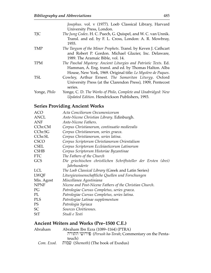|              | Josephus. vol. v (1977). Loeb Classical Library, Harvard              |
|--------------|-----------------------------------------------------------------------|
|              | University Press, London.                                             |
| <b>TJC</b>   | The Jung Codex. H. C. Puech, G. Quispel, and W. C. van Unnik.         |
|              | Transl. and ed. by F. L. Cross, London: A. R. Mowbray,<br>1955.       |
| TMP          | The Targum of the Minor Prophets. Transl. by Keven J. Cathcart        |
|              | and Robert P. Gordon. Michael Glazier, Inc. Delaware,                 |
|              | 1989. The Aramaic Bible, vol. 14.                                     |
| <b>TPM</b>   | The Paschal Mystery: Ancient Liturgies and Patristic Texts. Ed.       |
|              | Hamman, A. Eng. transl. and ed. by Thomas Halton. Alba                |
|              | House, New York, 1969. Original title: Le Mystère de Paques.          |
| <b>TSL</b>   | Cowley, Arthur Ernest. The Samaritan Liturgy. Oxford                  |
|              | University Press (at the Clarendon Press), 1909, Pentecost<br>series. |
| Yonge, Philo | Yonge, C. D. The Works of Philo, Complete and Unabridged: New         |
|              | Updated Edition. Hendrickson Publishers, 1993.                        |

### **Series Providing Ancient Works**

| <b>ACO</b>  | Acta Conciliorum Oecumenicorum                                 |
|-------------|----------------------------------------------------------------|
| <b>ANCL</b> | Ante-Nicene Christian Library. Edinburgh.                      |
| <b>ANF</b>  | Ante-Nicene Fathers.                                           |
| CChr.CM     | Corpus Christianorum, continuatio medievalis                   |
| CChr.SG     | Corpus Christianorum, series graeca.                           |
| CChr.SL     | Corpus Christianorum, series latina.                           |
| <b>CSCO</b> | Corpus Scriptorum Christianorum Orientalium                    |
| <b>CSEL</b> | Corpus Scriptorum Eccleiasticorum Latinorum                    |
| <b>CSHB</b> | Corpus Scriptorum Historiae Byzantinae                         |
| <b>FTC</b>  | The Fathers of the Church                                      |
| GCS         | Die griechischen christlichen Schriftsteller der Ersten (drei) |
|             | Jahrhunderte                                                   |
| <b>LCL</b>  | The Loeb Classical Library (Greek and Latin Series)            |
| <b>LWQF</b> | Liturgiewissenschaftliche Quellen und Forschungen              |
| Mis. Agost  | Miscellanea Agostiniana                                        |
| <b>NPNF</b> | Nicene and Post-Nicene Fathers of the Christian Church.        |
| PG          | Patrologiae Cursus Completus, series graeca.                   |
| PL          | Patrologiae Cursus Completus, series latina.                   |
| <b>PLS</b>  | Patrologiae Latinae supplementum                               |
| <b>PS</b>   | Patrologia Syriaca                                             |
| SC          | Sources Chrétiennes.                                           |
| <b>StT</b>  | Studi e Testi                                                  |
|             |                                                                |

#### **Ancient Writers and Works (Pre–1500 C.E.)**

| Abraham Ibn Ezra (1089–1164) (PTRA)       |
|-------------------------------------------|
| Errush ha-Torah; Commentary on the Penta- |
| teuch)                                    |
| שמות (Shemoth) (The book of Exodus)       |
|                                           |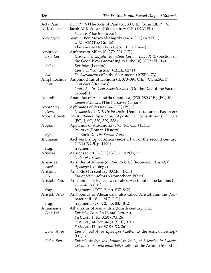| Acta Pauli        | Acta Pauli (The Acts of Paul) (c.180 C.E.) (Schmidt, Pauli)                    |
|-------------------|--------------------------------------------------------------------------------|
| Al-Kirkisani      | Jacob Al-Kirkisani (10th century C.E.) (KAEEL)                                 |
|                   | History of the Jewish Sects.                                                   |
| Al-Magribi        | Samuel Ben Moses al-Magribi (1434 C.E.) (KAEEL)                                |
|                   | <i>al-Muršid</i> (The Guide)                                                   |
|                   | The Karaite Holidays (Second Half Year)                                        |
| Ambrose           | Ambrose of Milan (fl. 370–391 C.E.)                                            |
| $Exp.$ Luc.       | Expositio Evangelii secundum Lucam, Libri X (Expostion of                      |
|                   | the Good News according to Luke 10) (CChr.SL, 14)                              |
| Epist.            | <i>Epistulae</i> (Letters)                                                     |
|                   | <i>Epist., 1, "To Justus." (CSEL, 82/1)</i>                                    |
| Sac.              | De Sacramentis (On the Sacraments) (CSEL, 73)                                  |
| Amphilochius      | Amphilochius of Iconium (fl. 373–394 C.E.) (CChr.SG, 3)                        |
| Orat.             | <i>Orationes</i> (Orations)                                                    |
|                   |                                                                                |
|                   | Orat., 5, "In Diem Sabbati Sancti (On the Day of the Sacred                    |
| Anatolius         | Sabbath)."<br>Anatolius of Alexandria (Laodicea) (230–280 C.E.) (PG, 10)       |
|                   |                                                                                |
|                   | Canon Paschalis (The Passover Canon)                                           |
| Aphraates<br>Dem. | Aphraates of Persia (344 C.E.) (PS, 1)                                         |
|                   | Demonstratio XII: De Paschate (Demonstration on Passover)                      |
|                   | Apost. Constit. Constitutiones Apostolicae (Apostolical Constitutions) (c.380) |
|                   | (PG, 1; SC, 320, 329, 336)                                                     |
| Appian            | Appianus of Alexandria (c.95–165 C.E.) (LCL)                                   |
|                   | Poμαικα (Roman History)                                                        |
| Syr.              | Book IX: The Syrian Wars                                                       |
| Archaeus          | Archaes bishop of Africa (second half of the second century                    |
|                   | $C.E.$ ) (PG, 5, p. 1490)                                                      |
| frag.             | fragment                                                                       |
| Aristeas          | Aristeas (c.170 B.C.E.) (SC, 89; APOT, 2)                                      |
|                   | Letter of Aristeas                                                             |
| Aristides         | Aristides of Athens (c.125–126 C.E.) (Robinson, Aristides)                     |
| Apol.             | Apologia (Apology)                                                             |
| Aristotle         | Aristotle (4th century B.C.E.) (LCL)                                           |
| EN                | Ethica Nicomachea (Nicomachean Ethics)                                         |
| Aristob. Pan.     | Aristobulus of Paneas, also called Aristobulus the famous (fl.                 |
|                   | 283-246 B.C.E.)                                                                |
| frag.             | fragments (OTP, 2, pp. 837-842)                                                |
| Aristob. Alex.    | Aristobulus of Alexandria, also called Aristobulus the Peri-                   |
|                   | patetic (fl. 181–124 B.C.E.)                                                   |
| frag.             | fragments (OTP, 2, pp. 837-842)                                                |
| Athanasius        | Athanasius of Alexandria (fourth century C.E.)                                 |
| Fest. Let.        | Epistolae Festalies (Festal Letters)                                           |
|                   | <i>Fest. Let.,</i> 1 (for 329) (PG, 26)                                        |
|                   | Fest. Let., 14 (for 342) (CSCO, 150)                                           |
|                   | <i>Fest. Let., 42 (for 370) (PG, 26)</i>                                       |
| Epist. Afros      | <i>Epistola Ad Afros Episcopos</i> (Letter to the African Bishop)              |
|                   | (PG, 26)                                                                       |
| Epist. Syn.       | Epistola de Synodis Arimini in Italia, et Seleuciae in Isauria,                |
|                   | Celebratis; Scripta anno 359. (Letter of the Arimini Synod in                  |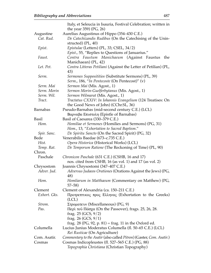|                 | Italy, et Seleucia in Isauria, Festival Celebration; written in                           |
|-----------------|-------------------------------------------------------------------------------------------|
|                 | the year 359) (PG, 26)                                                                    |
| Augustine       | Aurelius Augustinus of Hippo (354–430 C.E.)                                               |
| Cat. Rud.       | De Catechizandis Rudibus (On the Catechising of the Unin-                                 |
|                 | structed) (PL, 40)                                                                        |
| Epist.          | Epistulae (Letters) (PL, 33; CSEL, 34/2)                                                  |
|                 | Epist., 55, "Replies to Questions of Januarius."                                          |
| Faust.          | Contra Faustum Manichaeum (Against Faustus<br>the                                         |
|                 | Manichaean) (PL, 42)                                                                      |
| Let. Pet.       | Contra Litteras Petiliani (Against the Letter of Petilian) (PL,<br>43)                    |
| Serm.           | Sermones Supposititios (Substitute Sermons) (PL, 39)                                      |
|                 | Serm., 186, "In Pentecoste (On Pentecost)" (v)                                            |
| Serm. Mai       | Sermon Mai (Mis. Agost., 1)                                                               |
| Serm. Morin     | Sermon Morin-Guelferbytanus (Mis. Agost., 1)                                              |
| Serm. Wil.      | Sermon Wilmarat (Mis. Agost., 1)                                                          |
| Tract.          | Tractatus CXXIV: In Iohannis Evangelium (124 Treatises: On                                |
|                 | the Good News of John) (CChr.SL, 36)                                                      |
| <b>Barnabas</b> | Pseudo-Barnabas (mid-second century C.E.) (LCL)                                           |
|                 | Βαρναβα Επιστολη (Epistle of Barnabas)                                                    |
| <b>Basil</b>    | Basil of Caesarea (330–379 C.E.)                                                          |
| Hom.            | Homiliae et Sermones (Homilies and Sermons) (PG, 31)                                      |
|                 | Hom., 13, "Exhortation to Sacred Baptism."                                                |
| Spir. Sanc.     | De Spiritu Sancto (On the Sacred Spirit) (PG, 32)                                         |
| Bede            | Venerabilis Baedae (673–c.735 C.E.)                                                       |
| Hist.           | Opera Historica (Historical Works) (LCL)                                                  |
| Temp. Rat.      | De Temporum Ratione (The Reckoning of Time) (PL, 90)                                      |
| Chron.          |                                                                                           |
| Paschale        | Chronicon Paschale (631 C.E.) (CSHB, 16 and 17)                                           |
|                 | nos. cited from CSHB, 16 (as vol. 1) and 17 (as vol. 2)                                   |
| Chrysostom      | Joannis Chrysostomi (347–407 C.E.)                                                        |
| Adver. Jud.     | Adversus Judaeos Orationes (Orations Against the Jews) (PG,<br>48)                        |
| Hom.            | Homliarum in Matthaeum (Commentary on Matthew) (PG,<br>$57 - 58$                          |
| Clement         | Clement of Alexandria (ca. 150–211 C.E.)                                                  |
| Exhort. Gks.    | Προτρεπτικός προς Ελληνας (Exhortation to the Greeks)<br>(LCL)                            |
| Strom.          | Στροματευν (Miscellaneous) (PG, 9)                                                        |
| Pas.            | Περὶ τοῦ Πάσχα (On the Passover), frags. 25, 26, 28.                                      |
|                 | frag. $25$ (GCS, $9/2$ )                                                                  |
|                 | frag. $26$ (GCS, $9/1$ )                                                                  |
|                 | frag. 28 (PG, 92, p. 81) = frag. 11 in the Oxford ed.                                     |
| Columella       | Lucius Junius Moderatus Columella (fl. 50–65 C.E.) (LCL)<br>Rei Rusticae (On Agriculture) |
| Com. Asatir.    | Commentary to the Asatir (also called Pitron) (Gaster, Com. Asatir.)                      |
| Cosmas          | Cosmas Indicopleustes (fl. 527–565 C.E.) (PG, 88)                                         |
|                 | Topographia Christiana (Christian Topography)                                             |
|                 |                                                                                           |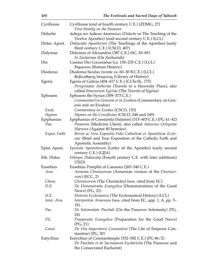| Cyrillonas    | Cyrillonas (end of fourth century C.E.) (ZDMG, 27)                                                                      |
|---------------|-------------------------------------------------------------------------------------------------------------------------|
|               | First Homily on the Passover                                                                                            |
| Didache       | $\Delta$ ιδαχη τον Δοδεκα Αποστολον (Didache or The Teaching of the<br>Twelve Apostles) (mid-second century C.E.) (LCL) |
| Didas. Apost. | Didascalia Apostlorum (The Teachings of the Apostles) (early                                                            |
|               | third century C.E.) (CSCO, 407)                                                                                         |
| Didymus       | Didymus of Alexandria (387 C.E.) (SC, 83-85)                                                                            |
|               | In Zachariam (On Zechariah)                                                                                             |
| Dio           | Cassius Dio Cocceianus (ca. 150–235 C.E.) (LCL)                                                                         |
|               | <b>Pωμαικον (Roman History)</b>                                                                                         |
| Diodorus      | Diodorus Siculus (wrote ca. 60–30 B.C.E.) (LCL)                                                                         |
|               | Βιβλιοθηκης Ιστορικης (Library of History)                                                                              |
| Egeria        | Egeria of Galicia (404–417 C.E.) (CChr.SL, 175)                                                                         |
|               | Peregrinatio Aetheriae (Travels in a Heavenly Place), also                                                              |
|               | called Itinerarium Egeriae (The Travels of Egeria)                                                                      |
| Ephraem       | Ephraem the Syrian (309–373 C.E.)                                                                                       |
|               | Commentarii in Genesim et in Exodum (Commentary on Gen-                                                                 |
|               | esis and on Exodus)                                                                                                     |
| Exod.         | Commentary on Exodus (CSCO, 153)                                                                                        |
| Hymns         | Hymns on the Crucifixion (CSCO, 248 and 249)                                                                            |
| Epiphanius    | Epiphanius of Constantia (Salamis) (315–403 C.E.) (PG 41–42)                                                            |
| Pan.          | Panarion (Medicine Chest), also called Adversus Octoginta                                                               |
|               | <i>Haereses</i> (Against 80 heresies)                                                                                   |
| Expos. Faith  | Brevis ac Vera Expositio Fidei Catholicae et Apostolicae Eccle-                                                         |
|               | siae (Brief and True Exposition of the Catholic Faith and                                                               |
|               | Apostolic Assembly)                                                                                                     |
| Epist. Apost. | Epistula Apostolorum (Letter of the Apostles) (early second<br>century C.E.) (GJJA)                                     |
| Eth. Didas.   | Ethiopic Didascalia (Fourth century C.E. with later additions)                                                          |
|               | (TED)                                                                                                                   |
| Eusebius      | Eusebius Pamphii of Caesarea (265–340 C.E.)                                                                             |
| Arm.          | Armenia Chronicorum (Armenian version of the Chronico-                                                                  |
|               | $rum)$ (ECC, 2)                                                                                                         |
| Chron.        | <i>Chronicorum</i> (The Chronicles) (nos. cited from EC)                                                                |
| D.E.          | De Demonstratio Evangelica (Demonstrations of the Good                                                                  |
|               | News) (PG, 22)                                                                                                          |
| H.E.          | Historia Ecclesiastica (The Ecclesiastical History) (LCL)                                                               |
| Inter. Arm.   | Interpretem Armenum (nos. cited from EC, app. 1, A, pp. 5–                                                              |
|               | 18).                                                                                                                    |
| Pas.          | De Solemnitate Paschali (On the Passover Solemnity) (PG,                                                                |
| P.E.          | 24)                                                                                                                     |
|               | Praeparatio Evangelica (Preparation for the Good News)<br>(PG, 21)                                                      |
| Const.        | De Vita Imperatoris Constantini (The Life of Emperor Con-                                                               |
|               | stantine) $(PG, 20)$                                                                                                    |
| Eutychius     | Eutychius of Constantinople (552–582 C.E.) (PG 86/2)                                                                    |
|               | De Paschate et de Sacrosancta Eucharistia (The Passover and                                                             |
|               | the Consecrated Eucharist)                                                                                              |
|               |                                                                                                                         |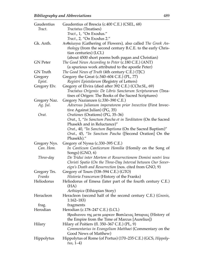| Gaudentius<br>Tract. | Gaudentius of Brescia (c.400 C.E.) (CSEL, 68)<br>Tractatus (Treatises)                                                                                                                                          |
|----------------------|-----------------------------------------------------------------------------------------------------------------------------------------------------------------------------------------------------------------|
|                      | Tract., 1, "On Exodus."                                                                                                                                                                                         |
|                      | <i>Tract., 2, "On Exodus 2."</i>                                                                                                                                                                                |
| Gk. Anth.            | Ανθολογια (Gathering of Flowers), also called The Greek An-<br><i>thology</i> (from the second century B.C.E. to the early Chris-<br>tian centuries) (LCL)<br>(about 4500 short poems both pagan and Christian) |
| <b>GN</b> Peter      | The Good News According to Peter (c.180 C.E.) (ANT)<br>(a spurious work attributed to the apostle Peter)                                                                                                        |
| GN Truth             | The Good News of Truth (4th century C.E.) (TJC)                                                                                                                                                                 |
| Gregory              | Gregory the Great (c.540–604 C.E.) (PL, 77)                                                                                                                                                                     |
| Epist.               | Registri Epistolarum (Registry of Letters)                                                                                                                                                                      |
| Gregory Elv.         | Gregory of Elvira (died after 392 C.E.) (CChr.SL, 69)                                                                                                                                                           |
|                      | Tractatus Origenis: De Libris Sanctarum Scripturarum (Trea-<br>tises of Origen: The Books of the Sacred Scriptures)                                                                                             |
| Gregory Naz.         | Gregory Nazianzen (c.330–390 C.E.)                                                                                                                                                                              |
| Ag. Jul.             | Adversus Julianum imperatorem prior Invectiva (First Invec-<br>tive Against Julian) (PG, 35)                                                                                                                    |
| Orat.                | Orationes (Orations) (PG, 35-36)                                                                                                                                                                                |
|                      | Orat., 1, "In Sanctum Pascha et in Tarditatem (On the Sacred                                                                                                                                                    |
|                      | Phasekh and in Reluctance)"                                                                                                                                                                                     |
|                      | Orat., 40, "In Sanctum Baptisma (On the Sacred Baptism)"<br>Orat., 45, "In Sanctum Pascha ([Second Oration] On the<br>Phasekh)."                                                                                |
| Gregory Nys.         | Gregory of Nyssa (c.330–395 C.E.)                                                                                                                                                                               |
| Can. Hom.            | In Canticum Canticorum Homilia (Homily on the Song of<br>Songs) (GNO, 6)                                                                                                                                        |
| Three-day            | De Tridui inter Mortem et Resurrectionem Domini nostri Iesu<br>Christi Spatio (On the Three-Day Interval between Our Sover-<br>eign's Death and Resurrection (nos. cited from GNO, 9)                           |
| Gregory Trs.         | Gregory of Tours (538–594 C.E.) (GTO)                                                                                                                                                                           |
| Franks               | Historia Francorum (History of the Franks)                                                                                                                                                                      |
| Heliodorus           | Heliodorus of Emesa (later part of the fourth century C.E.)<br>(HA)<br>Aethiopica (Ethiopian Story)                                                                                                             |
| Heracleon            | Heracleon (second half of the second century C.E.) (Gnosis,<br>$1:162 - 183$                                                                                                                                    |
| frag.                | fragments                                                                                                                                                                                                       |
| Herodian             | Herodian (c.178–247 C.E.) (LCL)                                                                                                                                                                                 |
|                      | Ηροδιανου της μετα μαρκον Βασιλειας Ιστοριας (History of<br>the Empire from the Time of Marcus [Aurelius])                                                                                                      |
| Hilary               | Hilary of Poitiers (fl. 350–367 C.E.) (PL, 9)<br>Commentarius in Evangelium Matthaei (Commentary on the                                                                                                         |
|                      | Good News of Matthew)                                                                                                                                                                                           |
| Hippolytus           | Hippolytus of Rome (of Portus) (170-235 C.E.) (GCS, Hippoly-<br>$tus, 1-4)$                                                                                                                                     |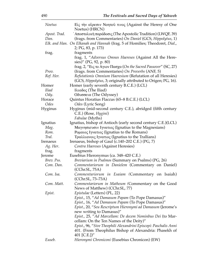| Noetus         | Eiς την αίρεσιν Νοητού τινος (Against the Heresy of One<br>Noetus) (HRCN)                             |  |
|----------------|-------------------------------------------------------------------------------------------------------|--|
| Apost. Trad.   | ' Αποστολικὴ παράδοσις (The Apostolic Tradition) (LWQF, 39)                                           |  |
| Dan.           | (frags. from Commentaries) On Daniel (GCS, Hippolytus, 1)                                             |  |
|                | Elk. and Han. On Elkanah and Hannah (frag. 5 of Homilies; Theodoret, Dial.,                           |  |
|                | 2; PG, 83, p. 173)                                                                                    |  |
| frag.          | fragments                                                                                             |  |
|                | frag. 1, "Adversus Omnes Haereses (Against All the Here-                                              |  |
|                | sies)" (PG, 92, p. 80)                                                                                |  |
|                | frag. 2, "Εις το Αγιον Πασχα (On the Sacred Passover" (SC, 27)                                        |  |
| Prov.          | (frags. from Commentaries) On Proverbs (ANF, 5)                                                       |  |
| Ref. Her.      | Refutationis Omnium Haeresium (Refutation of all Heresies)                                            |  |
|                | (GCS, Hippolytus, 3; originally attributed to Origen; PG, 16).                                        |  |
| Homer          | Homer (early seventh century B.C.E.) (LCL)                                                            |  |
| <i>Iliad</i>   | Iλιαδος (The Iliad)                                                                                   |  |
| Ody.           | Οδυσσεια (The Odyssey)                                                                                |  |
| Horace         | Quintus Horatius Flaccus (65–8 B.C.E.) (LCL)                                                          |  |
| Odes           | Odes (Lyric Song)                                                                                     |  |
| <b>Hyginus</b> | Hyginus (mid-second century C.E.), abridged (fifth century                                            |  |
|                | C.E.) (Rose, Hygini)                                                                                  |  |
|                | <i>Fabulae</i> (Myths)                                                                                |  |
| Ignatius       | Ignatius, bishop of Antioch (early second century C.E.)(LCL)                                          |  |
| Mag.           | Μαγνησιευσιν Ιγνατιος (Ignatius to the Magnesians)                                                    |  |
| Rom.<br>Tral.  | Poμαιος Ιγνατιος (Ignatius to the Romans)                                                             |  |
| Irenaeus       | Τραλλιανοις Ιγνατιος (Ignatius to the Trallians)<br>Irenaeus, bishop of Gaul (c.140–202 C.E.) (PG, 7) |  |
| Ag. Her.       | Contra Haereses (Against Heresies)                                                                    |  |
| frag.          | fragments                                                                                             |  |
| Jerome         | Eusebius Hieronymus (ca. 348–420 C.E.)                                                                |  |
| Brev. Pss.     | Breviarium in Psalmos (Summary on Psalms) (PG, 26)                                                    |  |
| Com. Dan.      | Commentariorum in Danielem (Commentary on Daniel)                                                     |  |
|                | (CChr.SL, 75A)                                                                                        |  |
| Com. Isa.      | Commentariorum in Esaiam (Commentary on Isaiah)                                                       |  |
|                | (CChr.SL, 73–73A)                                                                                     |  |
| Com. Matt.     | Commentariorum in Matheum (Commentary on the Good                                                     |  |
|                | News of Matthew) (CChr.SL, 77)                                                                        |  |
| Epist.         | Epistulae (Letters) (PL, 22)                                                                          |  |
|                | Epist., 15, "Ad Damasum Papam (To Pope Damasus)"                                                      |  |
|                | Epist., 16, "Ad Damasum Papam (To Pope Damasus)"                                                      |  |
|                | Epist., 20, "Seu Rescriptum Hieronymi ad Damasum (Jerome's                                            |  |
|                | new writing to Damasus)"                                                                              |  |
|                | Epist., 25, "Ad Marcellam: De decem Nominbus Dei (to Mar-                                             |  |
|                | cellam: On the Ten Names of the Deity)"                                                               |  |
|                | Epist., 96, "Sive Theophili Alexandrini Episcopi: Paschalis Anni                                      |  |
|                | 401. (From Theophilus Bishop of Alexandria: Phasekh of                                                |  |
|                | 401 [C.E.])"                                                                                          |  |
| Euseb.         | Hieronymi Chroniconi (Eusebius Chronicon) (EW)                                                        |  |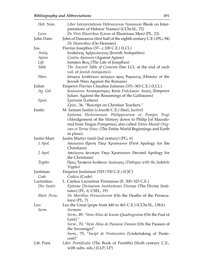| Heb. Nam.    | Liber Interpretationis Hebraicorum Nominum (Book on Inter-                 |  |
|--------------|----------------------------------------------------------------------------|--|
|              | pretations of Hebrew Names) (CChr.SL, 72)                                  |  |
| Lives        | De Viris Illustribus (Lives of Illustrious Men) (PL, 23)                   |  |
| John Dam.    | John of Damascus (first half of the eighth century C.E.) (PG, 94)          |  |
|              | De Hearesibus (On Heresies)                                                |  |
| Jos.         | Flavius Josephus (37 – c.100 C.E.) (LCL)                                   |  |
| Antiq.       | Ιουδαϊκης Αρξαιολογιας (Jewish Antiquities)                                |  |
| Apion        | Contra Apionem (Against Apion)                                             |  |
| Life         | Ioσηπου Βιος (The Life of Josephus)                                        |  |
| Table        | The Ancient Table of Contents (See LCL at the end of each                  |  |
|              | vol. of Jewish Antiquities)                                                |  |
| Wars         | Ιστορια Ιουδαϊκου πολεμου προς Ρομαιους (History of the                    |  |
|              | Jewish Wars Against the Romans)                                            |  |
| Julian       | Emperor Flavius Claudius Julianus (331–363 C.E.) (LCL)                     |  |
| Ag. Gal.     | Ιουλιανου Αυτοκρατορος Κατα Γαλιλαιον Λογος (Emperor                       |  |
|              | Julian: Against the Reasonings of the Galilaeans)                          |  |
| Epist.       | Epistulae (Letters)                                                        |  |
|              | Epist., 36, "Rescript on Christian Teachers."                              |  |
| Justin       | M. Iuniani Iustini (c.fourth C.E.) (Seel, Justini)                         |  |
|              | Epitoma Historiaraum Philippicarum ex Pompei Trogi                         |  |
|              | (Abridgement of the History down to Philip [of Macedo-                     |  |
|              | nia] from Trogus Pompeius), also called Totius Mundi Orig-                 |  |
|              | ines et Terrae Situs. (The Entire World Beginnings and Earth               |  |
|              | in place).                                                                 |  |
|              |                                                                            |  |
| Justin Mart. | Justin Martyr (mid-2nd century) (PG, 6)                                    |  |
| 1 Apol.      | Απολογια Προτη Υπερ Χριστιανον (First Apology for the                      |  |
|              | Christians)                                                                |  |
| 2 Apol.      | Απολογια Δευτερα Υπερ Χριστιανον (Second Apology for<br>the Christians)    |  |
| Trypho       | Προς Τρυφονα Ιουδαιον Διαλογος (Dialogue with the Judahite                 |  |
|              | Trypho)                                                                    |  |
| Justinian    | Emperor Justiniani (529/530 C.E.) (CJC)                                    |  |
| Code         | Codicis (Code)                                                             |  |
| Lactantius   | L. Caelius Lactantius Firmianus (fl. 300–325 C.E.)                         |  |
| Div. Instit. | Epitome Divinarum Institutiones Divinae (The Divine Insti-                 |  |
|              | tutes) $(PL, 6; CSEL, 19)$                                                 |  |
| Mort. Perse. | De Mortibus Persecutorum (On the Deaths of the Persecu-<br>$tors)$ (PL, 7) |  |
| Leo          | Leo the Great (pope from 440 to 461 C.E.) (CChr.SL, 138A)                  |  |
| Serm.        | <i>Sermons</i>                                                             |  |
|              |                                                                            |  |
|              | Serm., 49, "Item Alius de Ieunio Quadragesima (On the Fast of<br>Lent)."   |  |
|              | Serm., 70, "Item Alius de Passione Domini (On the Passion of               |  |
|              | the Sovereign)"                                                            |  |
|              | Serm., 75, "Incipt de Pentecosten (Undertaking of Pente-                   |  |
|              | $cost$ "                                                                   |  |
| Lib. Pont.   | Liber Pontificalis (The Book of Pontiffs) (Sixth century C.E.,             |  |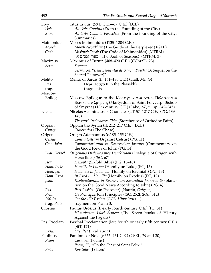| →ウム            | The Festivals and Sacred Days of Idnaven                                                                                                                                      |
|----------------|-------------------------------------------------------------------------------------------------------------------------------------------------------------------------------|
| Livy           | Titus Livius (59 B.C.E.-17 C.E.) (LCL)                                                                                                                                        |
| Urbe           | Ab Urbe Condita (From the Founding of the City)                                                                                                                               |
| Sum.           | Ab Urbe Condita Periochae (From the founding of the City:                                                                                                                     |
| Maimonides     | Summaries)                                                                                                                                                                    |
| Moreh          | Moses Maimonides (1135–1204 C.E.)<br>Moreh Nevukhim (The Guide of the Perplexed) (GTP)                                                                                        |
| Code           |                                                                                                                                                                               |
|                | Mishnah Torah (The Code of Maimonides) (MTRM)<br>(3) ספר ומנים (The Book of Seasons) (MTRM, 3)                                                                                |
| Maximus        | Maximus of Turnin (408–420 C.E.) (CChr.SL, 23)                                                                                                                                |
| Serm.          | Sermons<br>Serm., 54, "Item Sequentia de Sancta Pascha (A Sequel on the                                                                                                       |
|                | Sacred Passover)"                                                                                                                                                             |
| Melito         | Melito of Sardis (fl. 161-180 C.E.) (Hall, Melito)                                                                                                                            |
| Pas.           | $\pi$ <sub>ερι</sub> $\pi$ <sub>ασχα</sub> (On the Phasekh)                                                                                                                   |
| frag.          | fragments                                                                                                                                                                     |
| <b>Moscow</b>  |                                                                                                                                                                               |
| Epilog.        | Moscow Epilogue to the Μαρτυριον του Αγιου Πολυκαρπου<br>Επισκοπου Σμυρνης (Martyrdom of Saint Polycarp, Bishop<br>of Smyrna) (13th century C.E.) (Lake, AF, ii, pp. 342-345) |
| <b>Nicetas</b> | Nicetas Acominatos of Choniates (c.1157-1217 C.E.) (PG, 139-<br>140)<br>Thesauri Orthodoxae Fidei (Storehouse of Orthodox Faith)                                              |
| Oppian         | Oppian the Syrian (fl. 212–217 C.E.) (LCL)                                                                                                                                    |
| Cyneg.         | Cynegetica (The Chase)                                                                                                                                                        |
| Origen         | Origen Adamantius (c.185–255 C.E.)                                                                                                                                            |
| Celsus         | Contra Celsum (Against Celsus) (PG, 11)                                                                                                                                       |
| Com. John      | Commentariorum in Evangelium Joannis (Commentary on                                                                                                                           |
| Dial. Heracl.  | the Good News of John) (PG, 14)                                                                                                                                               |
|                | Origenous Dialektos pros Herakleidan (Dialogue of Origen with<br>Heraclides) (SC, 67)                                                                                         |
| Hex.           | Hexapla (Sixfold Bible) (PG, 15-16)                                                                                                                                           |
| Hom. Luke      | Homilia in Lucam (Homily on Luke) (PG, 13)                                                                                                                                    |
| Hom. Jer.      | Homiliae in Jeremiam (Homily on Jeremiah) (PG, 13)                                                                                                                            |
| Hom. Exod.     | <i>In Exodum Homilia</i> (Homily on Exodus) (PG, 12)                                                                                                                          |
| Joan.          | Explanationum in Evangelium Secundum Joannem (Explana-<br>tion on the Good News According to John) (PG, 4)                                                                    |
| Pas.           | Peri Paskha (On Passover) (Nautin, Origene)                                                                                                                                   |
| Prin.          | De Principiis (On Principles) (SC, 252f, 268f, 312)                                                                                                                           |
| 150 Ps.        | On the 150 Psalms (GCS, Hippolytus, 1)                                                                                                                                        |
| frag. Ps. 3    | fragment on Psalm 3.                                                                                                                                                          |
| Orosius        | Paulus Orosius (fl.early fourth century C.E.) (PL, 31)                                                                                                                        |
|                | Historiarum Libri Septem (The Seven books of History<br>Against the Pagans)                                                                                                   |
| Pas. Proclam.  | Paschal Proclamation (late fourth or early fifth century C.E.)<br>(StT, 121)                                                                                                  |
| Exsult.        | Exsultet (Exultation)                                                                                                                                                         |
| Paulinus       | Paulinus of Nola (c.355–431 C.E.) (CSEL, 29 and 30)                                                                                                                           |
| Poem           | Carmina (Poems)<br>Poem, 27, "On the Feast of Saint Felix."                                                                                                                   |
| Epist.         | <i>Epistulae</i> (Letters)                                                                                                                                                    |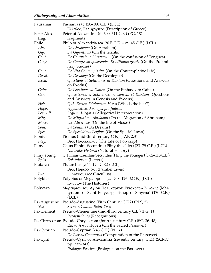| Pausanias     | Pausanias (c.120-180 C.E.) (LCL)<br>Ελλαδος Περιηγησεος (Description of Greece) |  |
|---------------|---------------------------------------------------------------------------------|--|
| Peter Alex.   | Peter of Alexandria (fl. 300-311 C.E.) (PG, 18)                                 |  |
| frag.         | fragments                                                                       |  |
| Philo         | Philo of Alexandria (ca. 20 B.C.E. – ca. 45 C.E.) (LCL)                         |  |
| Abr.          | De Abrahamo (On Abraham)                                                        |  |
| Gig.          | De Gigantibus (On the Giants)                                                   |  |
| Conf.         | De Confusione Linguarum (On the confusion of Tongues)                           |  |
| Cong.         | De Congressu quaerendae Eruditionis gratia (On the Prelimi-                     |  |
|               | nary Studies)                                                                   |  |
| Cont.         | De Vita Contemplativa (On the Contemplative Life)                               |  |
| Decal.        | De Decalogo (On the Decalogue)                                                  |  |
| Exod.         | Questions et Solutiones in Exodum (Questions and Answers                        |  |
|               | on Exodus)                                                                      |  |
| Gaius         | De Legatione ad Gaium (On the Embassy to Gaius)                                 |  |
| Gen.          | Quaestiones et Solutiones in Genesin et Exodum (Questions                       |  |
|               | and Answers in Genesis and Exodus)                                              |  |
| Heir          | Quis Rerum Divinarum Heres (Who is the heir?)                                   |  |
| Hypo.         | Hypothetica: Apologia pro Judaeis                                               |  |
| Leg. All.     | Legum Allegoria (Allegorical Interpretation)                                    |  |
| Mig.          | De Migratione Abrahami (On the Migration of Abraham)                            |  |
| Moses         | De Vita Mosis (On the life of Moses)                                            |  |
| Som.          | De Somniis (On Dreams)                                                          |  |
| Spec.         | De Specialibus Legibus (On the Special Laws)                                    |  |
| Pionius       | Pionius (mid-third century C.E.) (TAF, 2.3)                                     |  |
| Poly.         | Βιος Πολυκαρπου (The Life of Polycarp)                                          |  |
| Pliny         | Gaius Plinius Secundus (Pliny the elder) (23-79 C.E.) (LCL)                     |  |
|               | Naturalis Historia (Natural History)                                            |  |
| Pliny Young.  | C. Plinius Caecilius Secundus (Pliny the Younger) (c.62–113 C.E.)               |  |
| Epist.        | Epistularum (Letters)                                                           |  |
| Plutarch      | Plutarchus (c.45–120 C.E.) (LCL)                                                |  |
|               | Βιος Παραλληλοι (Parallel Lives)                                                |  |
| Luc.          | Λουκουλλος (Lucullus)                                                           |  |
| Polybius      | Polybius of Megalopolis (ca. 208–126 B.C.E.) (LCL)                              |  |
|               | Ιστοριον (The Histories)                                                        |  |
| Polycarp      | Μαρτυριον του Αγιου Πολυκαρπου Επισκοπου Σμυρνης (Mar-                          |  |
|               | tyrdom of Saint Polycarp, Bishop of Smyrna) (170 C.E.)<br>(LCL)                 |  |
| Ps.-Augustine | Pseudo-Augustine (Fifth Century C.E.?) (PLS, 2)                                 |  |
| Yves          | Sermon Caillau-Saint Yves                                                       |  |
| Ps.-Clement   | Pseudo-Clementine (mid-third century C.E.) (PG, 1)                              |  |
|               | Recognitiones (Recognitions)                                                    |  |
|               | Ps.-Chrysostom Pseudo-Chrysostom (fourth century C.E.) (SC, 36, 48)             |  |
|               | Eις το Αγιον Πασχα (On the Sacred Passover)                                     |  |
| Ps.-Cyprian   | Pseudo-Cyprian (243 C.E.) (PL, 4)                                               |  |
|               | De Pascha Computus (Computation of the Passover)                                |  |
| Ps.-Cyril     | Pseudo-Cyril of Alexandria (seventh century C.E.) (SCMC,                        |  |
|               | pp. 337–343)                                                                    |  |
|               | <i>Prologus Paschae</i> (Prologue on the Passover)                              |  |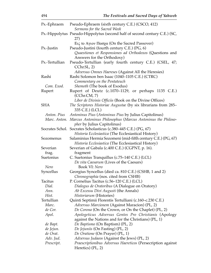| Ps.-Ephraem    | Pseudo-Ephraem (sixth century C.E.) (CSCO, 412)                                                                        |  |
|----------------|------------------------------------------------------------------------------------------------------------------------|--|
|                | Sermons for the Sacred Week<br>Ps.-Hippolytus Pseudo-Hippolytus (second half of second century C.E.) (SC,              |  |
|                | 27)                                                                                                                    |  |
|                | Eις το Αγιον Πασχα (On the Sacred Passover)                                                                            |  |
| Ps.-Justin     | Pseudo-Justini (fourth century C.E.) (PG, 6)                                                                           |  |
|                | Quaestiones et Responsiones ad Orthodoxos (Questions and                                                               |  |
|                | Answers for the Orthodoxy)                                                                                             |  |
| Ps.-Tertullian | Pseudo-Tertullian (early fourth century C.E.) (CSEL, 47;<br>Cchr.SL, 2)                                                |  |
|                | Adversus Omnes Haereses (Against All the Heresies)                                                                     |  |
| Rashi          | Rashi Solomon ben Isaac (1040–1105 C.E.) (CTRC)                                                                        |  |
|                | Commentary on the Pentateuch                                                                                           |  |
| Com. Exod.     | Shemoth (The book of Exodus)                                                                                           |  |
| Rupert         | Rupert of Deutz (c.1070–1129, or perhaps 1135 C.E.)<br>(CChr.CM, 7)                                                    |  |
|                | Liber de Divinis Officiis (Book on the Divine Offices)                                                                 |  |
| SHA            | The Scriptores Historiae Augustae (by six librarians from 285–<br>335 C.E.) (LCL)                                      |  |
| Anton. Pius    | Antoninus Pius (Antoninus Pius by Julius Capitolinus)                                                                  |  |
|                | Marc. Anton. Marcus Antoninus Philosophus (Marcus Antoninus the Philoso-                                               |  |
|                | pher by Julius Capitolinus)                                                                                            |  |
|                | Socrates Schol. Socrates Scholasticus (c.380–445 C.E.) (PG, 67)<br>Historia Ecclesiastica (The Ecclesiastical History) |  |
| Sozomenus      | Salaminius Hermia Sozomeni (mid-fifth century C.E.) (PG, 67)<br>Historia Ecclesiastica (The Ecclesiastical History)    |  |
| Severian       | Severian of Gabala (c.400 C.E.) (CGPNT, p. 16).                                                                        |  |
| frag.          | fragment                                                                                                               |  |
| Suetonius      | C. Suetonius Tranquillus (c.75-140 C.E.) (LCL)                                                                         |  |
|                | De vita Caesarum (Lives of the Caesars)                                                                                |  |
| Nero           | Book VI: Nero                                                                                                          |  |
| Syncellus      | Georgius Syncellus (died ca. 810 C.E.) (CSHB, 1 and 2)                                                                 |  |
|                | Chronographia (nos. cited from CSHB)                                                                                   |  |
| Tacitus        | P. Cornelius Tacitus (c.56–120 C.E.) (LCL)                                                                             |  |
| Dial.          | Dialogus de Oratoribus (A Dialogue on Oratory)                                                                         |  |
| Ann.           | Ab Excessu Divi Augusti (the Annals)                                                                                   |  |
| Hist.          | Historiarum (Histories)                                                                                                |  |
| Tertullian     | Quinti Septimii Florentis Tertulliani (c.160-c.230 C.E.)                                                               |  |
| Marc.          | <i>Adversus Marcionem</i> (Against Maracion) (PL, 2)                                                                   |  |
| de Cor.        | De Corona (On the Crown, or On the Chaplet) (PL, 2)                                                                    |  |
| Apol.          | Apologeticus Adversus Gentes Pro Christianis (Apology                                                                  |  |
|                | against the Nations and for the Christians) (PL, 1)                                                                    |  |
| de Bapt.       | De Baptismo (On Baptism) (PL, 2)                                                                                       |  |
| de Jejun.      | De Jejuniis (On Fasting) (PL, 2)                                                                                       |  |
| de Orat.       | De Oratione (On Prayer) (PL, 1)                                                                                        |  |
| Adv. Jud.      | Adversus Judaeos (Against the Jews) (PL, 2)                                                                            |  |
| Prescript.     | Praescriptionibus Adversus Haereticos (Persecription against                                                           |  |
|                | Heretics) $(PL, 2)$                                                                                                    |  |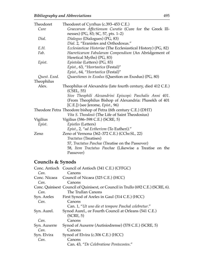| Theodoret    | Theodoret of Cyrrhus (c.393–453 C.E.)                                 |  |  |
|--------------|-----------------------------------------------------------------------|--|--|
| Cure         | Graecarum Affectionum Curatio (Cure for the Greek Ill-                |  |  |
|              | nesses) (PG, 83; SC, 57, pts. 1-2)                                    |  |  |
| Dial.        | Dialogus (Dialogues) (PG, 83)                                         |  |  |
|              | Dial. 2, "Eranistes and Orthodoxus."                                  |  |  |
| E.H.         | <i>Ecclesiasticae Historiae</i> (The Ecclesiastical History) (PG, 82) |  |  |
| Fab.         | Haereticarum Fabularum Compendium (An Abridgement of                  |  |  |
|              | Heretical Myths) (PG, 83)                                             |  |  |
| Epist.       | Epistolae (Letters) (PG, 83)                                          |  |  |
|              | Epist., 63, "Heortastica (Festal)"                                    |  |  |
|              | Epist., 64, "Heortastica (Festal)"                                    |  |  |
| Quest. Exod. | Quaestiones in Exodus (Question on Exodus) (PG, 80)                   |  |  |
| Theophilus   |                                                                       |  |  |
| Alex.        | Theophilus of Alexandria (late fourth century, died 412 C.E.)         |  |  |
|              | (CSEL, 55)                                                            |  |  |
|              | Sive Theophili Alexandrini Episcopi: Paschalis Anni 401.              |  |  |
|              | (From Theophilus Bishop of Alexandria: Phasekh of 401                 |  |  |
|              | [C.E.]) (see Jerome, Epist., 96)                                      |  |  |
|              | Theodore Petra Theodore bishop of Petra (6th century C.E.) (DHT)      |  |  |
|              | Vita S. Theodosii (The Life of Saint Theodosius)                      |  |  |
| Vigilius     | Vigilius (586–598 C.E.) (SCRE, 5)                                     |  |  |
| Epist.       | Epistles (Letters)                                                    |  |  |
|              | Epist., 2, "ad Evtherivm (To Eutheri)."                               |  |  |
| Zeno         | Zeno of Vernona (362–372 C.E.) (CChr.SL, 22)                          |  |  |
|              | Tractatus (Treatises)                                                 |  |  |
|              | 57, Tractatus Paschae (Treatise on the Passover)                      |  |  |
|              | 58, Item Tractatus Paschae (Likewise a Treatise on the                |  |  |
|              | Passover)                                                             |  |  |

## **Councils & Synods**

|              | Conc. Antioch Council of Antioch (341 C.E.) (CFFGC)                              |
|--------------|----------------------------------------------------------------------------------|
| Can.         | Canons                                                                           |
|              | Conc. Nicaea Council of Nicaea (325 C.E.) (HCC)                                  |
| Can.         | Canons                                                                           |
|              | Conc. Quinisext Council of Quinisext, or Council in Trullo (692 C.E.) (SCRE, 6). |
| Can.         | The Trullan Canons                                                               |
| Syn. Areles  | First Synod of Areles in Gaul (314 C.E.) (HCC)                                   |
| Can.         | Canons                                                                           |
|              | Can. 1, "Ut uno die et tempore Paschal celebretur."                              |
| Syn. Aurel.  | Synod Aurel., or Fourth Council at Orleans (541 C.E.)                            |
|              | (SCRE, 5)                                                                        |
| Can.         | Canons                                                                           |
| Syn. Auxerre | Synod of Auxerre (Autisiodrense) (578 C.E.) (SCRE, 5)                            |
| Can.         | Canons                                                                           |
| Syn. Elvira  | Synod of Elvira (c.306 C.E.) (HCC)                                               |
| Can.         | Canons                                                                           |
|              | Can. 43, "De Celebratione Pentecostes."                                          |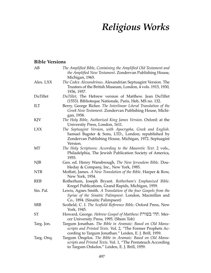# *Religious Works*

#### **Bible Versions**

| AB         | The Amplified Bible, Containing the Amplified Old Testament and<br>the Amplified New Testament. Zondervan Publishing House,<br>Michigan, 1965.                                          |  |
|------------|-----------------------------------------------------------------------------------------------------------------------------------------------------------------------------------------|--|
| Alex. LXX  | The Codex Alexandrinus. Alexandrian Septuagint Version. The<br>Trustees of the British Museum, London, 4 vols. 1915, 1930,<br>1936, 1957.                                               |  |
| DuTillet   | DuTillet, The Hebrew version of Matthew. Jean DuTillet<br>(1553). Biblioteque Nationale, Paris, Heb, MS no. 132.                                                                        |  |
| ILT        | Berry, George Ricker. The Interlinear Literal Translation of the<br>Greek New Testament. Zondervan Publishing House, Michi-<br>gan, 1958.                                               |  |
| KJV        | The Holy Bible, Authorized King James Version. Oxford: at the<br>University Press, London, 1611.                                                                                        |  |
| <b>LXX</b> | The Septuagint Version, with Apocrypha, Greek and English.<br>Samuel Bagster & Sons, LTD., London; republished by<br>Zondervan Publishing House, Michigan, 1972. Septuagint<br>Version. |  |
| MT         | The Holy Scriptures: According to the Masoretic Text. 2 vols.,<br>Philadelphia, The Jewish Publication Society of America,<br>1955.                                                     |  |
| <b>NJB</b> | Gen. ed. Henry Wansbrough, The New Jerusalem Bible. Dou-<br>bleday & Company, Inc., New York, 1985.                                                                                     |  |
| <b>NTB</b> | Moffatt, James. A New Translation of the Bible. Harper & Row,<br>New York, 1954.                                                                                                        |  |
| <b>REB</b> | Rotherham, Joseph Bryant. Rotherham's Emphasized Bible.<br>Kregel Publications, Grand Rapids, Michigan, 1959.                                                                           |  |
| Sin. Pal.  | Lewis, Agnes Smith. A Translation of the four Gospels from the<br>Syriac of the Sinaitic Palimpsest. London, Macmillan and<br>Co., 1894. (Sinaitic Palimpsest)                          |  |
| <b>SRB</b> | Scofield, C. I. The Scofield Reference Bible. Oxford Press, New<br>York, 1945.                                                                                                          |  |
| <b>ST</b>  | Howard, George. Hebrew Gospel of Matthew: תהי בשורת. Mer-<br>cer University Press, 1995. (Shem Tob)                                                                                     |  |
| Targ. Jon. | Targum Jonathan. The Bible in Aramaic: Based on Old Manu-<br>scripts and Printed Texts. Vol. 2, "The Former Prophets Ac-<br>cording to Targum Jonathan." Leiden, E. J. Brill, 1959.     |  |
| Targ. Onq. | Targum Onqelos. The Bible in Aramaic: Based on Old Manu-<br>scripts and Printed Texts. Vol. 1, "The Pentateuch According<br>to Targum Onkelos." Leiden, E. J. Brill, 1959.              |  |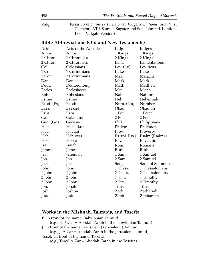Vulg. *Biblia Sacra Latina ex Biblia Sacra Vulgatae Editionis*. Sixti V. et Clementis VIII. Samuel Bagster and Sons Limited, London, 1830. (Vulgate Version)

#### **Bible Abbreviations (Old and New Testaments)**

| Acts                     | Acts of the Apostles | Judg.               | Judges          |
|--------------------------|----------------------|---------------------|-----------------|
| Amos<br>Amos             |                      | 1 Kings             | 1 Kings         |
| 1 Chronicles<br>1 Chron. |                      | 2 Kings             | 2 Kings         |
| 2 Chron.                 | 2 Chronicles         | Lam.                | Lamentations    |
| Col.                     | Colossians           | Lev. $(Lv)$         | Leviticus       |
| 1 Cor.                   | 1 Corinthians        | Luke                | Luke            |
| 2 Cor.                   | 2 Corinthians        | Mal.                | Malachi         |
| Dan.                     | Daniel               | Mark                | Mark            |
| Deut.                    | Deuteronomy          | Matt.               | Matthew         |
| Eccles.                  | Ecclesiastes         | Mic.                | Micah           |
| Eph.                     | Ephesians            | Nah.                | Nahum           |
| Esther                   | Esther               | Neh.                | Nehemiah        |
| Exod. (Ex)               | Exodus               | Num. (Nu)           | Numbers         |
| Ezek.                    | Ezekiel              | Obad.               | Obadiah         |
| Ezra                     | Ezra                 | 1 Pet.              | 1 Peter         |
| Gal.<br>Galatians        |                      | 2 Pet.              | 2 Peter         |
| Gen. (Gn)                | Genesis              | Phil.               | Philippians     |
| Hab.                     | Habakkuk             | Philem.             | Philemon        |
| Hag.                     | Haggai               | Prov.               | Proverbs        |
| Heb.                     | Hebrews              | $Ps.$ (pl. $Pss.$ ) | Psalm (Psalms)  |
| Hos.                     | Hosea                | Rev.                | Revelation      |
| Isa.                     | Isaiah               | Rom.                | Romans          |
| James                    | James                | Ruth                | Ruth            |
| Jer.                     | Jeremiah             | 1 Sam.              | 1 Samuel        |
| Job                      | Job                  | 2 Sam.              | 2 Samuel        |
| Joel                     | Joel                 | Song                | Song of Solomon |
| John                     | John                 | 1 Thess.            | 1 Thessalonians |
| 1 John                   | 1 John               | 2 Thess.            | 2 Thessalonians |
| 2 John                   | 2 John               | 1 Tim.              | 1 Timothy       |
| 3 John                   | 3 John               | 2 Tim.              | 2 Timothy       |
| Jon.                     | Jonah                | <b>Titus</b>        | <b>Titus</b>    |
| Josh.                    | Joshua               | Zech.               | Zechariah       |
| Jude                     | Jude                 | Zeph.               | Zephaniah       |

#### **Works in the Mishnah, Talmuds, and Tosefta**

B. in front of the name: Babylonian Talmud (e.g., B. A.Zar = Abodah Zarah in the Babylonian Talmud) J. in front of the name: Jerusalem (Yerusalemi) Talmud (e.g., J. A.Zar = Abodah Zarah in the Jerusalem Talmud) Tosef. in front of the name: Tosefta

(e.g., Tosef. A.Zar = Abodah Zarah in the Tosefta)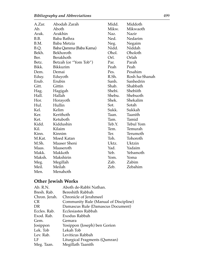| A.Zar. | Abodah Zarah           | Midd.  | Middoth          |
|--------|------------------------|--------|------------------|
| Ab.    | Aboth                  | Mikw.  | Mikwaoth         |
| Arak.  | Arakhin                | Naz.   | Nazir            |
| B.B.   | Baba Bathra            | Ned.   | Nedarim          |
| B.M.   | Baba Metzia            | Neg.   | Negaim           |
| B.Q.   | Baba Qamma (Baba Kama) | Nidd.  | Niddah           |
| Bekh.  | Bekhoroth              | Ohol.  | Oholoth          |
| Ber.   | Berakhoth              | Orl.   | Orlah            |
| Betz.  | Betzah (or "Yom Tob")  | Par.   | Parah            |
| Bikk.  | Bikkurim               | Peah   | Peah             |
| Dem.   | Demai                  | Pes.   | Pesahim          |
| Eduy.  | Eduyoth                | R.Sh.  | Rosh ha-Shanah   |
| Erub.  | Erubin                 | Sanh.  | Sanhedrin        |
| Gitt.  | Gittin                 | Shab.  | Shabbath         |
| Hag.   | Hagigah                | Shebi. | Shebiith         |
| Hall.  | Hallah                 | Shebu. | Shebuoth         |
| Hor.   | Horayoth               | Shek.  | Shekalim         |
| Hul.   | Hullin                 | Sot.   | Sotah            |
| Kel.   | Kelim                  | Sukk.  | Sukkah           |
| Ker.   | Kerithoth              | Taan.  | Taanith          |
| Ket.   | Ketuboth               | Tam.   | Tamid            |
| Kidd.  | Kiddushin              | Teb.Y. | <b>Tebul Yom</b> |
| Kil.   | Kilaim                 | Tem.   | Temurah          |
| Kinn.  | Kinnim                 | Ter.   | Terumoth         |
| M.Kat. | Moed Katan             | Toh.   | Tohoroth         |
| M.Sh.  | Maaser Sheni           | Uktz.  | Uktzin           |
| Maas.  | Maaseroth              | Yad.   | Yadaim           |
| Makk.  | Makkoth                | Yeb.   | Yebamoth         |
| Maksh. | Makshirin              | Yom.   | Yoma             |
| Meg.   | Megillah               | Zab.   | Zabim            |
| Meil.  | Meilah                 | Zeb.   | Zebahim          |
| Men.   | Menahoth               |        |                  |

## **Other Jewish Works**

| Ab. R.N.      | Aboth de-Rabbi Nathan.                |
|---------------|---------------------------------------|
| Bresh. Rab.   | Bereshith Rabbah                      |
| Chron. Jerah. | Chronicle of Jerahmeel                |
| <b>CR</b>     | Community Rule (Manual of Discipline) |
| DR            | Damascus Rule (Damascus Document)     |
| Eccles. Rab.  | Ecclesiastes Rabbah                   |
| Exod. Rab.    | Exodus Rabbah                         |
| Gem.          | Gemara                                |
| Josippon      | Yosippon (Joseph) ben Gorion          |
| Lek. Tob      | Lekah Tob                             |
| Lev. Rab.     | Leviticus Rabbah                      |
| LF            | Liturgical Fragments (Qumran)         |
| Meg. Taan.    | Megillath Taanith                     |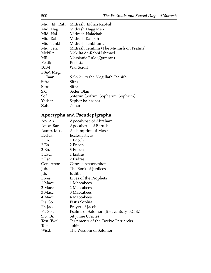| Midrash 'Ekhah Rabbah                    |
|------------------------------------------|
| Midrash Haggadah                         |
| Midrash Halachah                         |
| Midrash Rabbah                           |
| Midrash Tankhuma                         |
| Midrash Tehillim (The Midrash on Psalms) |
| Mekilta de-Rabbi Ishmael                 |
| Messianic Rule (Qumran)                  |
| Pesikta                                  |
| War Scroll                               |
|                                          |
| <i>Scholion</i> to the Megillath Taanith |
| Sifra                                    |
| <b>Sifre</b>                             |
| Seder Olam                               |
| Soferim (Sofrim, Sopherim, Sophrim)      |
| Sepher ha-Yashar                         |
| Zohar                                    |
|                                          |

# **Apocrypha and Pseudepigrapha**

| Ap. Ab.     | Apocalypse of Abraham                    |
|-------------|------------------------------------------|
| Apoc. Bar.  | Apocalypse of Baruch                     |
| Asmp. Mos.  | <b>Asslumption of Moses</b>              |
| Ecclus.     | Ecclesiasticus                           |
| 1 En.       | 1 Enoch                                  |
| 2 En.       | 2 Enoch                                  |
| 3 En.       | 3 Enoch                                  |
| 1 Esd.      | 1 Esdras                                 |
| 2 Esd.      | 2 Esdras                                 |
| Gen. Apoc.  | Genesis Apocryphon                       |
| Jub.        | The Book of Jubilees                     |
| Jth.        | Judith                                   |
| Lives       | Lives of the Prophets                    |
| 1 Macc.     | 1 Maccabees                              |
| 2 Macc.     | 2 Maccabees                              |
| 3 Macc.     | 3 Maccabees                              |
| 4 Macc.     | 4 Maccabees                              |
| Pis. So.    | Pistis Sophia                            |
| Pr. Jac.    | Prayer of Jacob                          |
| Ps. Sol.    | Psalms of Solomon (first century B.C.E.) |
| Sib. Or.    | Sibylline Oracles                        |
| Test. Twel. | Testaments of the Twelve Patriarchs      |
| Tob.        | Tobit                                    |
| Wisd.       | The Wisdom of Solomon                    |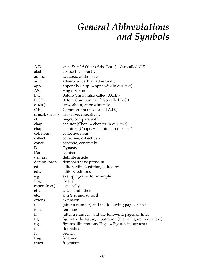# *General Abbreviations and Symbols*

| A.D.            | anno Domini (Year of the Lord). Also called C.E.               |
|-----------------|----------------------------------------------------------------|
| abstr.          | abstract, abstractly                                           |
| ad loc.         | <i>ad locum</i> , at the place                                 |
| adv.            | adverb, adverbial, adverbially                                 |
| app.            | appendix (App. $=$ appendix in our text)                       |
| AS.             | Anglo Saxon                                                    |
| B.C.            | Before Christ (also called B.C.E.)                             |
| B.C.E.          | Before Common Era (also called B.C.)                           |
| c. $(ca.)$      | circa, about, approximately                                    |
| C.E.            | Common Era (also called A.D.)                                  |
| causat. (caus.) | causative, causatively                                         |
| cf.             | <i>confer</i> , compare with                                   |
| chap.           | chapter (Chap. $=$ chapter in our text)                        |
| chaps.          | chapters (Chaps. $=$ chapters in our text)                     |
| col. noun       | collective noun                                                |
| collect.        | collective, collectively                                       |
| concr.          | concrete, concretely                                           |
| D.              | Dynasty                                                        |
| Dan.            | Danish                                                         |
| def. art.       | definite article                                               |
| demon. pron.    | demonstrative pronoun                                          |
| ed.             | editor, edited, edition, edited by                             |
| eds.            | editors, editions                                              |
| e.g.            | exempli gratia, for example                                    |
| Eng.            | English                                                        |
| espec. (esp.)   | especially                                                     |
| et al           | <i>et alii</i> , and others                                    |
| etc.            | <i>et cetera</i> , and so forth                                |
| extens.         | extension                                                      |
| f               | (after a number) and the following page or line                |
| fem.            | feminine                                                       |
| ff              | (after a number) and the following pages or lines              |
| fig.            | figuratively, figure, illustration (Fig. = Figure in our text) |
| figs.           | figures, illustrations (Figs. $=$ Figures in our text)         |
| fl.             | flourished                                                     |
| Fr.             | French                                                         |
| frag.           | fragment                                                       |
| frags.          | fragments                                                      |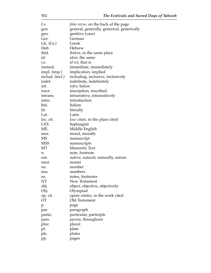| f.v.            | <i>folio verso,</i> on the back of the page |
|-----------------|---------------------------------------------|
| gen.            | general, generally, generical, generically  |
| gen.            | genitive (case)                             |
| Ger.            | German                                      |
| Gk. (Gr.)       | Greek                                       |
| Heb.            | Hebrew                                      |
| ibid.           | <i>ibidem</i> , in the same place           |
| id.             | <i>idem</i> , the same                      |
| i.e.            | <i>id est</i> , that is                     |
| immed.          | immediate, immediately                      |
| impl. (imp.)    | implication, implied                        |
| includ. (incl.) | including, inclusive, inclusively           |
| indef.          | indefinite, indefinitely                    |
| inf.            | <i>infra</i> , below                        |
| inscr.          | inscription, inscribed                      |
| intrans.        | intransitive, intransitively                |
| intro.          | introduction                                |
| Ital.           | Italian                                     |
| lit.            | literally                                   |
| Lat.            | Latin                                       |
| loc. cit.       | loco citato, in the place cited             |
| <b>LXX</b>      | Septuagint                                  |
| ME.             | Middle English                              |
| mor.            | moral, morally                              |
| MS              | manuscript                                  |
| MSS             | manuscripts                                 |
| МT              | <b>Masoretic Text</b>                       |
| n.              | note, footnote                              |
| nat.            | native, natural, naturally, nature          |
| neut.           | neuter                                      |
| no.             | number                                      |
| nos.            | numbers                                     |
| ns.             | notes, footnotes                            |
| NT              | New Testament                               |
| obj.            | object, objective, objectively              |
| Oly.            | Olympiad                                    |
| op. cit.        | opere citatio, in the work cited            |
| <b>OT</b>       | Old Testament                               |
| p.              | page                                        |
| par.            | paragraph                                   |
| partic.         | particular, participle                      |
| pass.           | <i>passim</i> , throughout                  |
| plur.           | plural                                      |
| pl.             | plate                                       |
| pls.            | plates                                      |
| pp.             | pages                                       |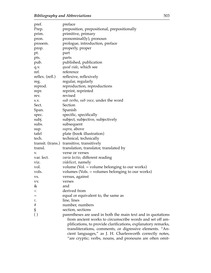| pref.           | preface                                                                                                                                                                                                                                                                                                       |
|-----------------|---------------------------------------------------------------------------------------------------------------------------------------------------------------------------------------------------------------------------------------------------------------------------------------------------------------|
| Prep.           | preposition, prepositional, prepositionally                                                                                                                                                                                                                                                                   |
| prim.           | primitive, primary                                                                                                                                                                                                                                                                                            |
| pron.           | pronominal(ly), pronoun                                                                                                                                                                                                                                                                                       |
| prooem.         | prologue, introduction, preface                                                                                                                                                                                                                                                                               |
| prop.           | properly, proper                                                                                                                                                                                                                                                                                              |
| pt.             | part                                                                                                                                                                                                                                                                                                          |
| pts.            | parts                                                                                                                                                                                                                                                                                                         |
| pub.            | published, publication                                                                                                                                                                                                                                                                                        |
| q.v.            | quod vide, which see                                                                                                                                                                                                                                                                                          |
| ref.            | reference                                                                                                                                                                                                                                                                                                     |
| reflex. (refl.) | reflexive, reflexively                                                                                                                                                                                                                                                                                        |
| reg.            | regular, regularly                                                                                                                                                                                                                                                                                            |
| reprod.         | reproduction, reproductions                                                                                                                                                                                                                                                                                   |
| repr.           | reprint, reprinted                                                                                                                                                                                                                                                                                            |
| rev.            | revised                                                                                                                                                                                                                                                                                                       |
| S.V.            | sub verbo, sub voce, under the word                                                                                                                                                                                                                                                                           |
| Sect.           | Section                                                                                                                                                                                                                                                                                                       |
| Span.           | Spanish                                                                                                                                                                                                                                                                                                       |
| spec.           | specific, specifically                                                                                                                                                                                                                                                                                        |
| subj.           | subject, subjective, subjectively                                                                                                                                                                                                                                                                             |
| subs.           | subsequent                                                                                                                                                                                                                                                                                                    |
| sup.            | supra, above                                                                                                                                                                                                                                                                                                  |
| tafel           | plate (book illustration)                                                                                                                                                                                                                                                                                     |
| tech.           | technical, technically                                                                                                                                                                                                                                                                                        |
|                 | transit. (trans.) transitive, transitively                                                                                                                                                                                                                                                                    |
| transl.         | translation, translator, translated by                                                                                                                                                                                                                                                                        |
| V.              | verse or verses                                                                                                                                                                                                                                                                                               |
| var. lect.      | varia lectio, different reading                                                                                                                                                                                                                                                                               |
| viz.            | <i>videlicet</i> , namely                                                                                                                                                                                                                                                                                     |
| vol.            | volume (Vol. $=$ volume belonging to our works)                                                                                                                                                                                                                                                               |
| vols.           | volumes (Vols. $=$ volumes belonging to our works)                                                                                                                                                                                                                                                            |
| VS.             | versus, against                                                                                                                                                                                                                                                                                               |
| VV.             | verses                                                                                                                                                                                                                                                                                                        |
| &               | and                                                                                                                                                                                                                                                                                                           |
| $\,<$           | derived from                                                                                                                                                                                                                                                                                                  |
| $=$             | equal or equivalent to, the same as                                                                                                                                                                                                                                                                           |
| $\ell.$         | line, lines                                                                                                                                                                                                                                                                                                   |
| $\#$            | number, numbers                                                                                                                                                                                                                                                                                               |
| $\S$            | section, sections                                                                                                                                                                                                                                                                                             |
| ( )             | parentheses are used in both the main text and in quotations                                                                                                                                                                                                                                                  |
|                 | from ancient works to circumscribe words and set off am-<br>plifications, to provide clarifications, explanatory remarks,<br>transliterations, comments, or digressive elements. "An-<br>cient languages," as J. H. Charlesworth correctly notes,<br>"are cryptic; verbs, nouns, and pronouns are often omit- |